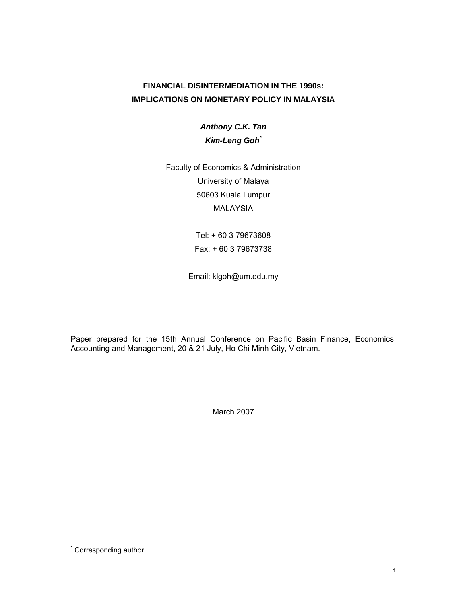# **FINANCIAL DISINTERMEDIATION IN THE 1990s: IMPLICATIONS ON MONETARY POLICY IN MALAYSIA**

*Anthony C.K. Tan Kim-Leng Goh\**

Faculty of Economics & Administration University of Malaya 50603 Kuala Lumpur MALAYSIA

> Tel: + 60 3 79673608 Fax: + 60 3 79673738

Email: klgoh@um.edu.my

Paper prepared for the 15th Annual Conference on Pacific Basin Finance, Economics, Accounting and Management, 20 & 21 July, Ho Chi Minh City, Vietnam.

March 2007

**Corresponding author.**<br>Corresponding author.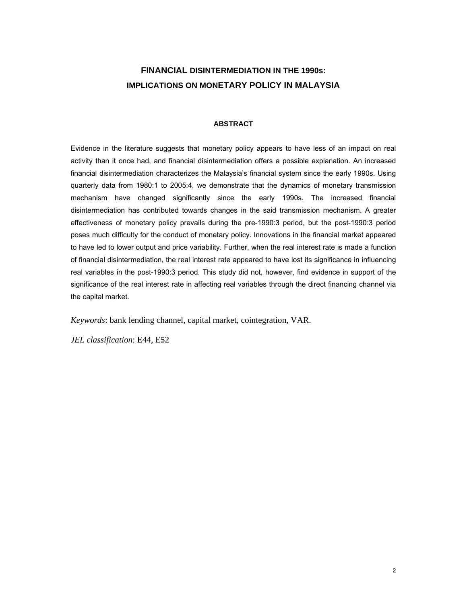# **FINANCIAL DISINTERMEDIATION IN THE 1990s: IMPLICATIONS ON MONETARY POLICY IN MALAYSIA**

## **ABSTRACT**

Evidence in the literature suggests that monetary policy appears to have less of an impact on real activity than it once had, and financial disintermediation offers a possible explanation. An increased financial disintermediation characterizes the Malaysia's financial system since the early 1990s. Using quarterly data from 1980:1 to 2005:4, we demonstrate that the dynamics of monetary transmission mechanism have changed significantly since the early 1990s. The increased financial disintermediation has contributed towards changes in the said transmission mechanism. A greater effectiveness of monetary policy prevails during the pre-1990:3 period, but the post-1990:3 period poses much difficulty for the conduct of monetary policy. Innovations in the financial market appeared to have led to lower output and price variability. Further, when the real interest rate is made a function of financial disintermediation, the real interest rate appeared to have lost its significance in influencing real variables in the post-1990:3 period. This study did not, however, find evidence in support of the significance of the real interest rate in affecting real variables through the direct financing channel via the capital market.

*Keywords*: bank lending channel, capital market, cointegration, VAR.

*JEL classification*: E44, E52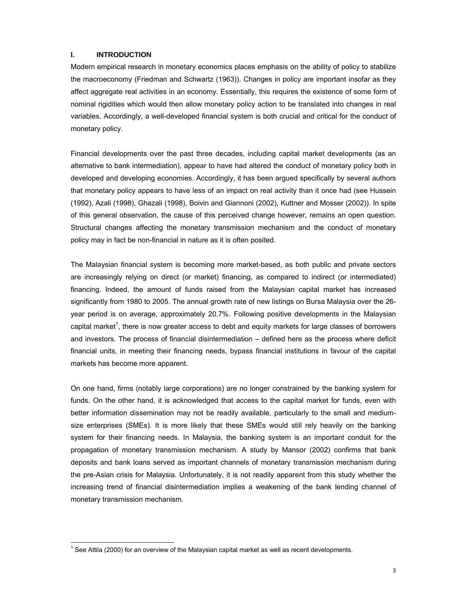## **I. INTRODUCTION**

 $\overline{a}$ 

Modern empirical research in monetary economics places emphasis on the ability of policy to stabilize the macroeconomy (Friedman and Schwartz (1963)). Changes in policy are important insofar as they affect aggregate real activities in an economy. Essentially, this requires the existence of some form of nominal rigidities which would then allow monetary policy action to be translated into changes in real variables. Accordingly, a well-developed financial system is both crucial and critical for the conduct of monetary policy.

Financial developments over the past three decades, including capital market developments (as an alternative to bank intermediation), appear to have had altered the conduct of monetary policy both in developed and developing economies. Accordingly, it has been argued specifically by several authors that monetary policy appears to have less of an impact on real activity than it once had (see Hussein (1992), Azali (1998), Ghazali (1998), Boivin and Giannoni (2002), Kuttner and Mosser (2002)). In spite of this general observation, the cause of this perceived change however, remains an open question. Structural changes affecting the monetary transmission mechanism and the conduct of monetary policy may in fact be non-financial in nature as it is often posited.

The Malaysian financial system is becoming more market-based, as both public and private sectors are increasingly relying on direct (or market) financing, as compared to indirect (or intermediated) financing. Indeed, the amount of funds raised from the Malaysian capital market has increased significantly from 1980 to 2005. The annual growth rate of new listings on Bursa Malaysia over the 26 year period is on average, approximately 20.7%. Following positive developments in the Malaysian capital market<sup>1</sup>, there is now greater access to debt and equity markets for large classes of borrowers and investors. The process of financial disintermediation – defined here as the process where deficit financial units, in meeting their financing needs, bypass financial institutions in favour of the capital markets has become more apparent.

On one hand, firms (notably large corporations) are no longer constrained by the banking system for funds. On the other hand, it is acknowledged that access to the capital market for funds, even with better information dissemination may not be readily available, particularly to the small and mediumsize enterprises (SMEs). It is more likely that these SMEs would still rely heavily on the banking system for their financing needs. In Malaysia, the banking system is an important conduit for the propagation of monetary transmission mechanism. A study by Mansor (2002) confirms that bank deposits and bank loans served as important channels of monetary transmission mechanism during the pre-Asian crisis for Malaysia. Unfortunately, it is not readily apparent from this study whether the increasing trend of financial disintermediation implies a weakening of the bank lending channel of monetary transmission mechanism.

 $1$  See Attila (2000) for an overview of the Malaysian capital market as well as recent developments.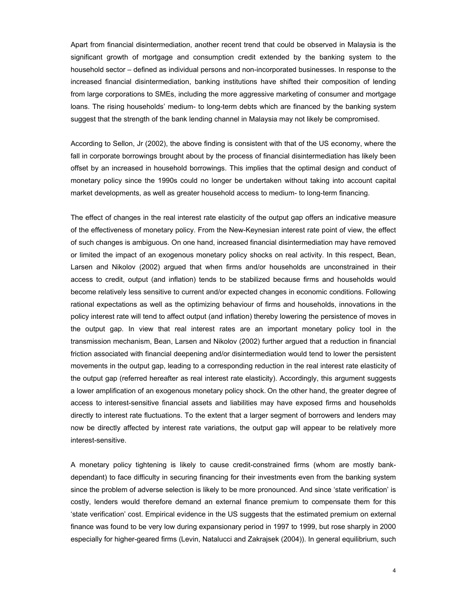Apart from financial disintermediation, another recent trend that could be observed in Malaysia is the significant growth of mortgage and consumption credit extended by the banking system to the household sector – defined as individual persons and non-incorporated businesses. In response to the increased financial disintermediation, banking institutions have shifted their composition of lending from large corporations to SMEs, including the more aggressive marketing of consumer and mortgage loans. The rising households' medium- to long-term debts which are financed by the banking system suggest that the strength of the bank lending channel in Malaysia may not likely be compromised.

According to Sellon, Jr (2002), the above finding is consistent with that of the US economy, where the fall in corporate borrowings brought about by the process of financial disintermediation has likely been offset by an increased in household borrowings. This implies that the optimal design and conduct of monetary policy since the 1990s could no longer be undertaken without taking into account capital market developments, as well as greater household access to medium- to long-term financing.

The effect of changes in the real interest rate elasticity of the output gap offers an indicative measure of the effectiveness of monetary policy. From the New-Keynesian interest rate point of view, the effect of such changes is ambiguous. On one hand, increased financial disintermediation may have removed or limited the impact of an exogenous monetary policy shocks on real activity. In this respect, Bean, Larsen and Nikolov (2002) argued that when firms and/or households are unconstrained in their access to credit, output (and inflation) tends to be stabilized because firms and households would become relatively less sensitive to current and/or expected changes in economic conditions. Following rational expectations as well as the optimizing behaviour of firms and households, innovations in the policy interest rate will tend to affect output (and inflation) thereby lowering the persistence of moves in the output gap. In view that real interest rates are an important monetary policy tool in the transmission mechanism, Bean, Larsen and Nikolov (2002) further argued that a reduction in financial friction associated with financial deepening and/or disintermediation would tend to lower the persistent movements in the output gap, leading to a corresponding reduction in the real interest rate elasticity of the output gap (referred hereafter as real interest rate elasticity). Accordingly, this argument suggests a lower amplification of an exogenous monetary policy shock. On the other hand, the greater degree of access to interest-sensitive financial assets and liabilities may have exposed firms and households directly to interest rate fluctuations. To the extent that a larger segment of borrowers and lenders may now be directly affected by interest rate variations, the output gap will appear to be relatively more interest-sensitive.

A monetary policy tightening is likely to cause credit-constrained firms (whom are mostly bankdependant) to face difficulty in securing financing for their investments even from the banking system since the problem of adverse selection is likely to be more pronounced. And since 'state verification' is costly, lenders would therefore demand an external finance premium to compensate them for this 'state verification' cost. Empirical evidence in the US suggests that the estimated premium on external finance was found to be very low during expansionary period in 1997 to 1999, but rose sharply in 2000 especially for higher-geared firms (Levin, Natalucci and Zakrajsek (2004)). In general equilibrium, such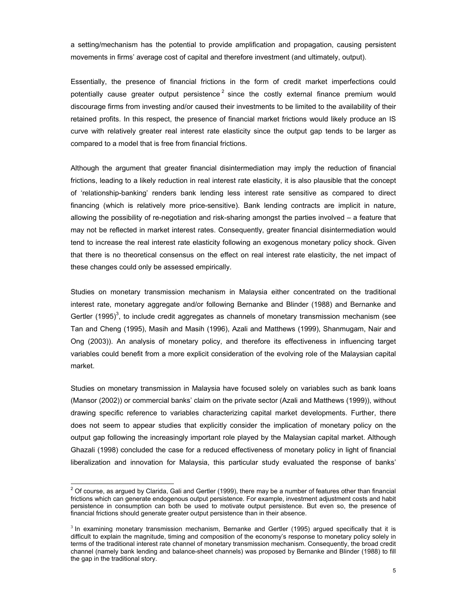a setting/mechanism has the potential to provide amplification and propagation, causing persistent movements in firms' average cost of capital and therefore investment (and ultimately, output).

Essentially, the presence of financial frictions in the form of credit market imperfections could potentially cause greater output persistence  $2$  since the costly external finance premium would discourage firms from investing and/or caused their investments to be limited to the availability of their retained profits. In this respect, the presence of financial market frictions would likely produce an IS curve with relatively greater real interest rate elasticity since the output gap tends to be larger as compared to a model that is free from financial frictions.

Although the argument that greater financial disintermediation may imply the reduction of financial frictions, leading to a likely reduction in real interest rate elasticity, it is also plausible that the concept of 'relationship-banking' renders bank lending less interest rate sensitive as compared to direct financing (which is relatively more price-sensitive). Bank lending contracts are implicit in nature, allowing the possibility of re-negotiation and risk-sharing amongst the parties involved – a feature that may not be reflected in market interest rates. Consequently, greater financial disintermediation would tend to increase the real interest rate elasticity following an exogenous monetary policy shock. Given that there is no theoretical consensus on the effect on real interest rate elasticity, the net impact of these changes could only be assessed empirically.

Studies on monetary transmission mechanism in Malaysia either concentrated on the traditional interest rate, monetary aggregate and/or following Bernanke and Blinder (1988) and Bernanke and Gertler (1995)<sup>3</sup>, to include credit aggregates as channels of monetary transmission mechanism (see Tan and Cheng (1995), Masih and Masih (1996), Azali and Matthews (1999), Shanmugam, Nair and Ong (2003)). An analysis of monetary policy, and therefore its effectiveness in influencing target variables could benefit from a more explicit consideration of the evolving role of the Malaysian capital market.

Studies on monetary transmission in Malaysia have focused solely on variables such as bank loans (Mansor (2002)) or commercial banks' claim on the private sector (Azali and Matthews (1999)), without drawing specific reference to variables characterizing capital market developments. Further, there does not seem to appear studies that explicitly consider the implication of monetary policy on the output gap following the increasingly important role played by the Malaysian capital market. Although Ghazali (1998) concluded the case for a reduced effectiveness of monetary policy in light of financial liberalization and innovation for Malaysia, this particular study evaluated the response of banks'

 $\overline{a}$ 

 $^2$  Of course, as argued by Clarida, Gali and Gertler (1999), there may be a number of features other than financial frictions which can generate endogenous output persistence. For example, investment adjustment costs and habit persistence in consumption can both be used to motivate output persistence. But even so, the presence of financial frictions should generate greater output persistence than in their absence.

 $3$  In examining monetary transmission mechanism, Bernanke and Gertler (1995) argued specifically that it is difficult to explain the magnitude, timing and composition of the economy's response to monetary policy solely in terms of the traditional interest rate channel of monetary transmission mechanism. Consequently, the broad credit channel (namely bank lending and balance-sheet channels) was proposed by Bernanke and Blinder (1988) to fill the gap in the traditional story.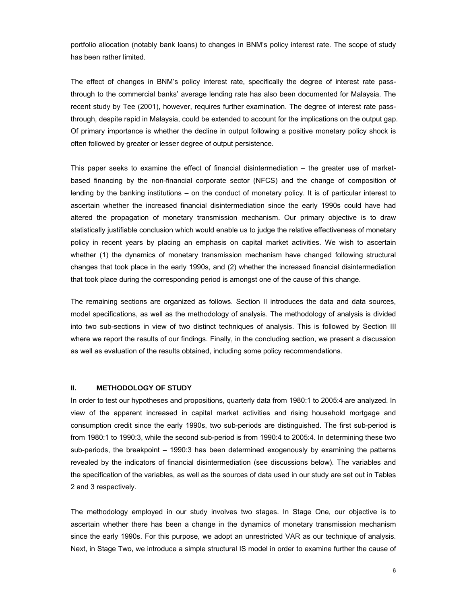portfolio allocation (notably bank loans) to changes in BNM's policy interest rate. The scope of study has been rather limited.

The effect of changes in BNM's policy interest rate, specifically the degree of interest rate passthrough to the commercial banks' average lending rate has also been documented for Malaysia. The recent study by Tee (2001), however, requires further examination. The degree of interest rate passthrough, despite rapid in Malaysia, could be extended to account for the implications on the output gap. Of primary importance is whether the decline in output following a positive monetary policy shock is often followed by greater or lesser degree of output persistence.

This paper seeks to examine the effect of financial disintermediation – the greater use of marketbased financing by the non-financial corporate sector (NFCS) and the change of composition of lending by the banking institutions – on the conduct of monetary policy. It is of particular interest to ascertain whether the increased financial disintermediation since the early 1990s could have had altered the propagation of monetary transmission mechanism. Our primary objective is to draw statistically justifiable conclusion which would enable us to judge the relative effectiveness of monetary policy in recent years by placing an emphasis on capital market activities. We wish to ascertain whether (1) the dynamics of monetary transmission mechanism have changed following structural changes that took place in the early 1990s, and (2) whether the increased financial disintermediation that took place during the corresponding period is amongst one of the cause of this change.

The remaining sections are organized as follows. Section II introduces the data and data sources, model specifications, as well as the methodology of analysis. The methodology of analysis is divided into two sub-sections in view of two distinct techniques of analysis. This is followed by Section III where we report the results of our findings. Finally, in the concluding section, we present a discussion as well as evaluation of the results obtained, including some policy recommendations.

#### **II. METHODOLOGY OF STUDY**

In order to test our hypotheses and propositions, quarterly data from 1980:1 to 2005:4 are analyzed. In view of the apparent increased in capital market activities and rising household mortgage and consumption credit since the early 1990s, two sub-periods are distinguished. The first sub-period is from 1980:1 to 1990:3, while the second sub-period is from 1990:4 to 2005:4. In determining these two sub-periods, the breakpoint – 1990:3 has been determined exogenously by examining the patterns revealed by the indicators of financial disintermediation (see discussions below). The variables and the specification of the variables, as well as the sources of data used in our study are set out in Tables 2 and 3 respectively.

 The methodology employed in our study involves two stages. In Stage One, our objective is to ascertain whether there has been a change in the dynamics of monetary transmission mechanism since the early 1990s. For this purpose, we adopt an unrestricted VAR as our technique of analysis. Next, in Stage Two, we introduce a simple structural IS model in order to examine further the cause of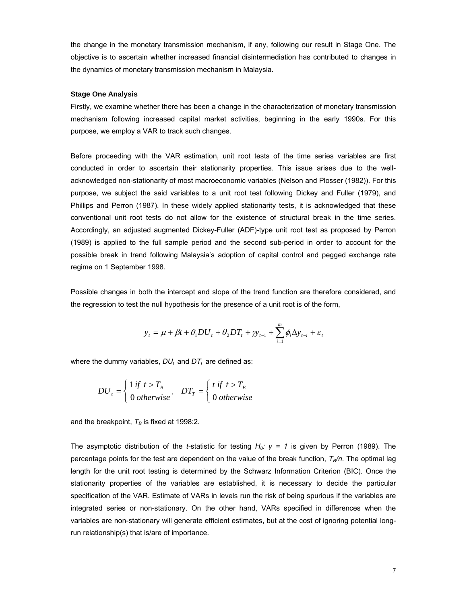the change in the monetary transmission mechanism, if any, following our result in Stage One. The objective is to ascertain whether increased financial disintermediation has contributed to changes in the dynamics of monetary transmission mechanism in Malaysia.

#### **Stage One Analysis**

Firstly, we examine whether there has been a change in the characterization of monetary transmission mechanism following increased capital market activities, beginning in the early 1990s. For this purpose, we employ a VAR to track such changes.

Before proceeding with the VAR estimation, unit root tests of the time series variables are first conducted in order to ascertain their stationarity properties. This issue arises due to the wellacknowledged non-stationarity of most macroeconomic variables (Nelson and Plosser (1982)). For this purpose, we subject the said variables to a unit root test following Dickey and Fuller (1979), and Phillips and Perron (1987). In these widely applied stationarity tests, it is acknowledged that these conventional unit root tests do not allow for the existence of structural break in the time series. Accordingly, an adjusted augmented Dickey-Fuller (ADF)-type unit root test as proposed by Perron (1989) is applied to the full sample period and the second sub-period in order to account for the possible break in trend following Malaysia's adoption of capital control and pegged exchange rate regime on 1 September 1998.

Possible changes in both the intercept and slope of the trend function are therefore considered, and the regression to test the null hypothesis for the presence of a unit root is of the form,

$$
y_{t} = \mu + \beta t + \theta_1 DU_{t} + \theta_2 DT_{t} + y_{t-1} + \sum_{i=1}^{m} \phi_i \Delta y_{t-i} + \varepsilon_t
$$

where the dummy variables,  $DU_t$  and  $DT_t$  are defined as:

$$
DU_{t} = \begin{cases} 1 \text{ if } t > T_{B} \\ 0 \text{ otherwise} \end{cases}, \quad DT_{T} = \begin{cases} t \text{ if } t > T_{B} \\ 0 \text{ otherwise} \end{cases}
$$

and the breakpoint,  $T_B$  is fixed at 1998:2.

The asymptotic distribution of the *t*-statistic for testing *H<sub>0</sub>: γ* = 1 is given by Perron (1989). The percentage points for the test are dependent on the value of the break function,  $T_{B}/n$ . The optimal lag length for the unit root testing is determined by the Schwarz Information Criterion (BIC). Once the stationarity properties of the variables are established, it is necessary to decide the particular specification of the VAR. Estimate of VARs in levels run the risk of being spurious if the variables are integrated series or non-stationary. On the other hand, VARs specified in differences when the variables are non-stationary will generate efficient estimates, but at the cost of ignoring potential longrun relationship(s) that is/are of importance.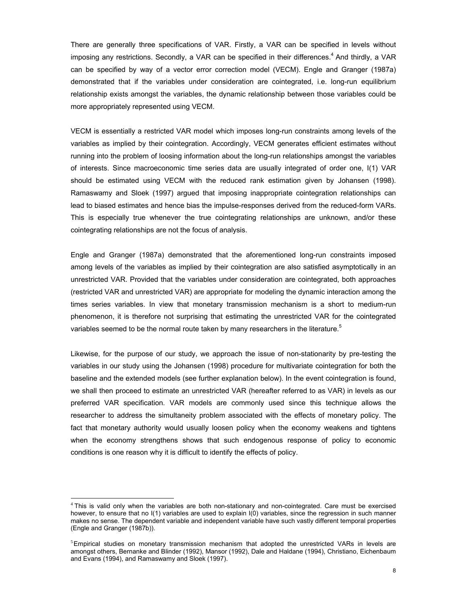There are generally three specifications of VAR. Firstly, a VAR can be specified in levels without imposing any restrictions. Secondly, a VAR can be specified in their differences.<sup>4</sup> And thirdly, a VAR can be specified by way of a vector error correction model (VECM). Engle and Granger (1987a) demonstrated that if the variables under consideration are cointegrated, i.e. long-run equilibrium relationship exists amongst the variables, the dynamic relationship between those variables could be more appropriately represented using VECM.

VECM is essentially a restricted VAR model which imposes long-run constraints among levels of the variables as implied by their cointegration. Accordingly, VECM generates efficient estimates without running into the problem of loosing information about the long-run relationships amongst the variables of interests. Since macroeconomic time series data are usually integrated of order one, I(1) VAR should be estimated using VECM with the reduced rank estimation given by Johansen (1998). Ramaswamy and Sloek (1997) argued that imposing inappropriate cointegration relationships can lead to biased estimates and hence bias the impulse-responses derived from the reduced-form VARs. This is especially true whenever the true cointegrating relationships are unknown, and/or these cointegrating relationships are not the focus of analysis.

Engle and Granger (1987a) demonstrated that the aforementioned long-run constraints imposed among levels of the variables as implied by their cointegration are also satisfied asymptotically in an unrestricted VAR. Provided that the variables under consideration are cointegrated, both approaches (restricted VAR and unrestricted VAR) are appropriate for modeling the dynamic interaction among the times series variables. In view that monetary transmission mechanism is a short to medium-run phenomenon, it is therefore not surprising that estimating the unrestricted VAR for the cointegrated variables seemed to be the normal route taken by many researchers in the literature.<sup>5</sup>

Likewise, for the purpose of our study, we approach the issue of non-stationarity by pre-testing the variables in our study using the Johansen (1998) procedure for multivariate cointegration for both the baseline and the extended models (see further explanation below). In the event cointegration is found, we shall then proceed to estimate an unrestricted VAR (hereafter referred to as VAR) in levels as our preferred VAR specification. VAR models are commonly used since this technique allows the researcher to address the simultaneity problem associated with the effects of monetary policy. The fact that monetary authority would usually loosen policy when the economy weakens and tightens when the economy strengthens shows that such endogenous response of policy to economic conditions is one reason why it is difficult to identify the effects of policy.

 $\overline{a}$ 

<sup>4</sup> This is valid only when the variables are both non-stationary and non-cointegrated. Care must be exercised however, to ensure that no I(1) variables are used to explain I(0) variables, since the regression in such manner makes no sense. The dependent variable and independent variable have such vastly different temporal properties (Engle and Granger (1987b)).

<sup>&</sup>lt;sup>5</sup>Empirical studies on monetary transmission mechanism that adopted the unrestricted VARs in levels are amongst others, Bernanke and Blinder (1992), Mansor (1992), Dale and Haldane (1994), Christiano, Eichenbaum and Evans (1994), and Ramaswamy and Sloek (1997).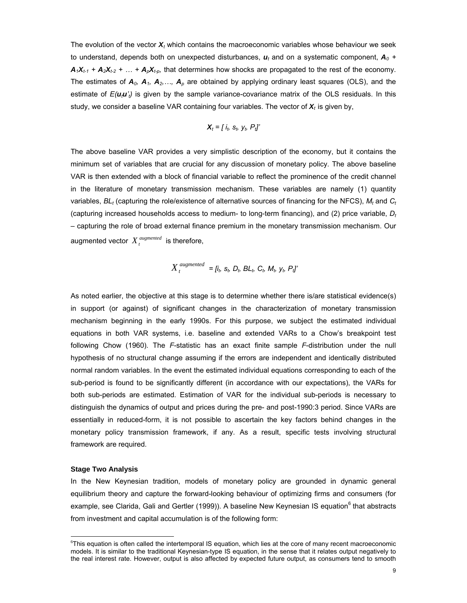The evolution of the vector *Xt* which contains the macroeconomic variables whose behaviour we seek to understand, depends both on unexpected disturbances,  $u_t$  and on a systematic component,  $A_0$  +  $A_1X_{t-1} + A_2X_{t-2} + ... + A_pX_{t-p}$ , that determines how shocks are propagated to the rest of the economy. The estimates of  $A_0$ ,  $A_1$ ,  $A_2$ ,  $\ldots$ ,  $A_p$  are obtained by applying ordinary least squares (OLS), and the estimate of *E(utu't)* is given by the sample variance-covariance matrix of the OLS residuals. In this study, we consider a baseline VAR containing four variables. The vector of *Xt* is given by,

$$
\mathbf{X}_t = [i_t, s_t, y_t, P_t]
$$

The above baseline VAR provides a very simplistic description of the economy, but it contains the minimum set of variables that are crucial for any discussion of monetary policy. The above baseline VAR is then extended with a block of financial variable to reflect the prominence of the credit channel in the literature of monetary transmission mechanism. These variables are namely (1) quantity variables,  $BL<sub>t</sub>$  (capturing the role/existence of alternative sources of financing for the NFCS),  $M<sub>t</sub>$  and  $C<sub>t</sub>$ (capturing increased households access to medium- to long-term financing), and (2) price variable, *Dt* – capturing the role of broad external finance premium in the monetary transmission mechanism. Our augmented vector  $X_t^{augmented}$  is therefore,

$$
X_t^{augmented} = [i_b s_b D_b BL_b C_b M_b y_b P_t]'
$$

As noted earlier, the objective at this stage is to determine whether there is/are statistical evidence(s) in support (or against) of significant changes in the characterization of monetary transmission mechanism beginning in the early 1990s. For this purpose, we subject the estimated individual equations in both VAR systems, i.e. baseline and extended VARs to a Chow's breakpoint test following Chow (1960). The *F*-statistic has an exact finite sample *F*-distribution under the null hypothesis of no structural change assuming if the errors are independent and identically distributed normal random variables. In the event the estimated individual equations corresponding to each of the sub-period is found to be significantly different (in accordance with our expectations), the VARs for both sub-periods are estimated. Estimation of VAR for the individual sub-periods is necessary to distinguish the dynamics of output and prices during the pre- and post-1990:3 period. Since VARs are essentially in reduced-form, it is not possible to ascertain the key factors behind changes in the monetary policy transmission framework, if any. As a result, specific tests involving structural framework are required.

#### **Stage Two Analysis**

 $\overline{a}$ 

 In the New Keynesian tradition, models of monetary policy are grounded in dynamic general equilibrium theory and capture the forward-looking behaviour of optimizing firms and consumers (for example, see Clarida, Gali and Gertler (1999)). A baseline New Keynesian IS equation<sup>6</sup> that abstracts from investment and capital accumulation is of the following form:

<sup>6</sup> This equation is often called the intertemporal IS equation, which lies at the core of many recent macroeconomic models. It is similar to the traditional Keynesian-type IS equation, in the sense that it relates output negatively to the real interest rate. However, output is also affected by expected future output, as consumers tend to smooth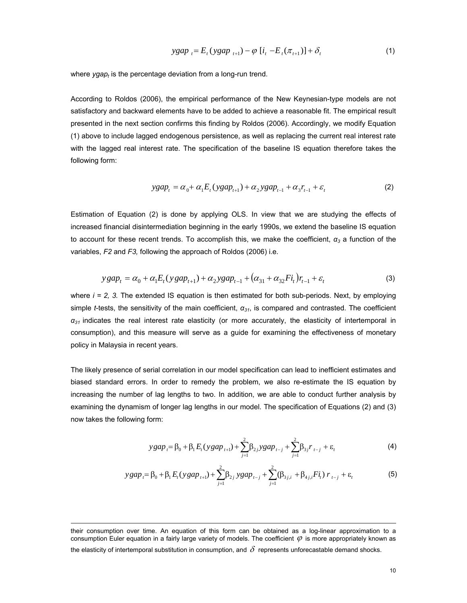$$
ygap_{t} = E_{t}(ygap_{t+1}) - \varphi [i_{t} - E_{t}(\pi_{t+1})] + \delta_{t}
$$
\n(1)

where *ygap<sub>t</sub>* is the percentage deviation from a long-run trend.

According to Roldos (2006), the empirical performance of the New Keynesian-type models are not satisfactory and backward elements have to be added to achieve a reasonable fit. The empirical result presented in the next section confirms this finding by Roldos (2006). Accordingly, we modify Equation (1) above to include lagged endogenous persistence, as well as replacing the current real interest rate with the lagged real interest rate. The specification of the baseline IS equation therefore takes the following form:

$$
ygap_t = \alpha_0 + \alpha_1 E_t (ygap_{t+1}) + \alpha_2 ygap_{t-1} + \alpha_3 r_{t-1} + \varepsilon_t
$$
 (2)

Estimation of Equation (2) is done by applying OLS. In view that we are studying the effects of increased financial disintermediation beginning in the early 1990s, we extend the baseline IS equation to account for these recent trends. To accomplish this, we make the coefficient, *α<sup>3</sup>* a function of the variables, *F2* and *F3,* following the approach of Roldos (2006) i.e.

$$
y \, gap_t = \alpha_0 + \alpha_1 E_t (y \, gap_{t+1}) + \alpha_2 y \, gap_{t-1} + (\alpha_{31} + \alpha_{32} F i_t) r_{t-1} + \varepsilon_t \tag{3}
$$

where *i* = 2, 3. The extended IS equation is then estimated for both sub-periods. Next, by employing simple *t*-tests, the sensitivity of the main coefficient, *α31*, is compared and contrasted. The coefficient *α<sup>31</sup>* indicates the real interest rate elasticity (or more accurately, the elasticity of intertemporal in consumption), and this measure will serve as a guide for examining the effectiveness of monetary policy in Malaysia in recent years.

The likely presence of serial correlation in our model specification can lead to inefficient estimates and biased standard errors. In order to remedy the problem, we also re-estimate the IS equation by increasing the number of lag lengths to two. In addition, we are able to conduct further analysis by examining the dynamism of longer lag lengths in our model. The specification of Equations (2) and (3) now takes the following form:

$$
ygap_{t} = \beta_{0} + \beta_{1} E_{t}(ygap_{t+1}) + \sum_{j=1}^{2} \beta_{2j} ygap_{t-j} + \sum_{j=1}^{2} \beta_{3j} r_{t-j} + \varepsilon_{t}
$$
(4)

$$
y gap_t = \beta_0 + \beta_1 E_t (y gap_{t+1}) + \sum_{j=1}^{2} \beta_{2j} y gap_{t-j} + \sum_{j=1}^{2} (\beta_{3j,i} + \beta_{4j,i} F i_t) r_{t-j} + \varepsilon_t
$$
(5)

the elasticity of intertemporal substitution in consumption, and  $\delta$  represents unforecastable demand shocks.

 $\overline{a}$ 

their consumption over time. An equation of this form can be obtained as a log-linear approximation to a consumption Euler equation in a fairly large variety of models. The coefficient  $\varphi$  is more appropriately known as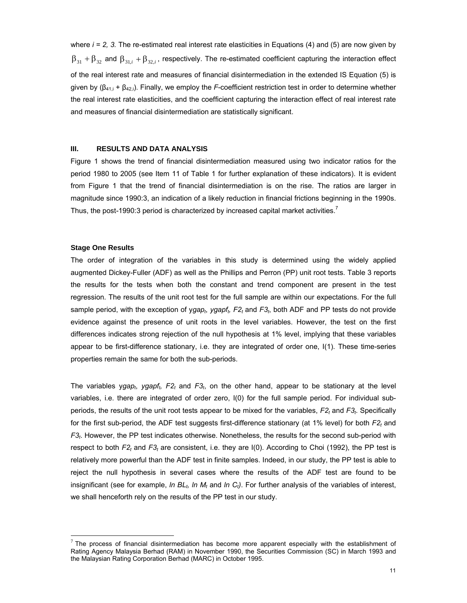where *i* = 2, 3. The re-estimated real interest rate elasticities in Equations (4) and (5) are now given by  $\beta_{31} + \beta_{32}$  and  $\beta_{31i} + \beta_{32i}$ , respectively. The re-estimated coefficient capturing the interaction effect of the real interest rate and measures of financial disintermediation in the extended IS Equation (5) is given by (β41,i + β42,i). Finally, we employ the *F*-coefficient restriction test in order to determine whether the real interest rate elasticities, and the coefficient capturing the interaction effect of real interest rate and measures of financial disintermediation are statistically significant.

#### **III. RESULTS AND DATA ANALYSIS**

Figure 1 shows the trend of financial disintermediation measured using two indicator ratios for the period 1980 to 2005 (see Item 11 of Table 1 for further explanation of these indicators). It is evident from Figure 1 that the trend of financial disintermediation is on the rise. The ratios are larger in magnitude since 1990:3, an indication of a likely reduction in financial frictions beginning in the 1990s. Thus, the post-1990:3 period is characterized by increased capital market activities.

#### **Stage One Results**

 $\overline{a}$ 

The order of integration of the variables in this study is determined using the widely applied augmented Dickey-Fuller (ADF) as well as the Phillips and Perron (PP) unit root tests. Table 3 reports the results for the tests when both the constant and trend component are present in the test regression. The results of the unit root test for the full sample are within our expectations. For the full sample period, with the exception of ygap<sub>t</sub>, ygapf<sub>t</sub>, F<sub>2t</sub> and F<sub>3t</sub>, both ADF and PP tests do not provide evidence against the presence of unit roots in the level variables. However, the test on the first differences indicates strong rejection of the null hypothesis at 1% level, implying that these variables appear to be first-difference stationary, i.e. they are integrated of order one, I(1). These time-series properties remain the same for both the sub-periods.

The variables ygap<sub>t</sub>, ygapf<sub>t</sub>,  $F2_t$  and  $F3_t$ , on the other hand, appear to be stationary at the level variables, i.e. there are integrated of order zero, I(0) for the full sample period. For individual subperiods, the results of the unit root tests appear to be mixed for the variables, *F2t* and *F3t*. Specifically for the first sub-period, the ADF test suggests first-difference stationary (at 1% level) for both *F2t* and *F3t*. However, the PP test indicates otherwise. Nonetheless, the results for the second sub-period with respect to both *F2t* and *F3t* are consistent, i.e. they are I(0). According to Choi (1992), the PP test is relatively more powerful than the ADF test in finite samples. Indeed, in our study, the PP test is able to reject the null hypothesis in several cases where the results of the ADF test are found to be insignificant (see for example, *ln BL<sub>t</sub>, ln M<sub>t</sub>* and *ln C<sub>t</sub>*). For further analysis of the variables of interest, we shall henceforth rely on the results of the PP test in our study.

 $<sup>7</sup>$  The process of financial disintermediation has become more apparent especially with the establishment of</sup> Rating Agency Malaysia Berhad (RAM) in November 1990, the Securities Commission (SC) in March 1993 and the Malaysian Rating Corporation Berhad (MARC) in October 1995.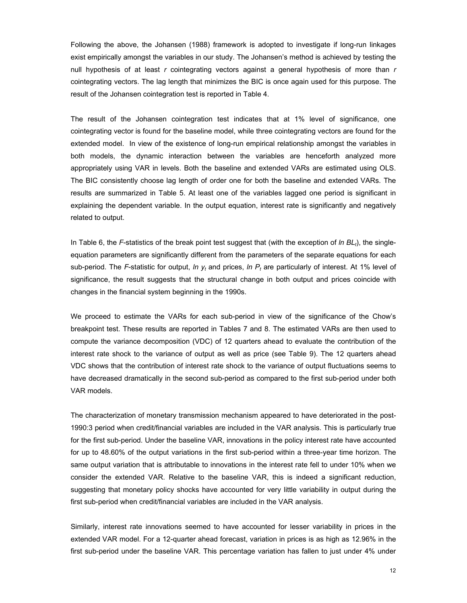Following the above, the Johansen (1988) framework is adopted to investigate if long-run linkages exist empirically amongst the variables in our study. The Johansen's method is achieved by testing the null hypothesis of at least *r* cointegrating vectors against a general hypothesis of more than *r*  cointegrating vectors. The lag length that minimizes the BIC is once again used for this purpose. The result of the Johansen cointegration test is reported in Table 4.

The result of the Johansen cointegration test indicates that at 1% level of significance, one cointegrating vector is found for the baseline model, while three cointegrating vectors are found for the extended model. In view of the existence of long-run empirical relationship amongst the variables in both models, the dynamic interaction between the variables are henceforth analyzed more appropriately using VAR in levels. Both the baseline and extended VARs are estimated using OLS. The BIC consistently choose lag length of order one for both the baseline and extended VARs. The results are summarized in Table 5. At least one of the variables lagged one period is significant in explaining the dependent variable. In the output equation, interest rate is significantly and negatively related to output.

In Table 6, the  $F$ -statistics of the break point test suggest that (with the exception of  $ln BL<sub>t</sub>$ ), the singleequation parameters are significantly different from the parameters of the separate equations for each sub-period. The *F*-statistic for output, *ln*  $y_t$  and prices, *ln P<sub>t</sub>* are particularly of interest. At 1% level of significance, the result suggests that the structural change in both output and prices coincide with changes in the financial system beginning in the 1990s.

We proceed to estimate the VARs for each sub-period in view of the significance of the Chow's breakpoint test. These results are reported in Tables 7 and 8. The estimated VARs are then used to compute the variance decomposition (VDC) of 12 quarters ahead to evaluate the contribution of the interest rate shock to the variance of output as well as price (see Table 9). The 12 quarters ahead VDC shows that the contribution of interest rate shock to the variance of output fluctuations seems to have decreased dramatically in the second sub-period as compared to the first sub-period under both VAR models.

The characterization of monetary transmission mechanism appeared to have deteriorated in the post-1990:3 period when credit/financial variables are included in the VAR analysis. This is particularly true for the first sub-period. Under the baseline VAR, innovations in the policy interest rate have accounted for up to 48.60% of the output variations in the first sub-period within a three-year time horizon. The same output variation that is attributable to innovations in the interest rate fell to under 10% when we consider the extended VAR. Relative to the baseline VAR, this is indeed a significant reduction, suggesting that monetary policy shocks have accounted for very little variability in output during the first sub-period when credit/financial variables are included in the VAR analysis.

Similarly, interest rate innovations seemed to have accounted for lesser variability in prices in the extended VAR model. For a 12-quarter ahead forecast, variation in prices is as high as 12.96% in the first sub-period under the baseline VAR. This percentage variation has fallen to just under 4% under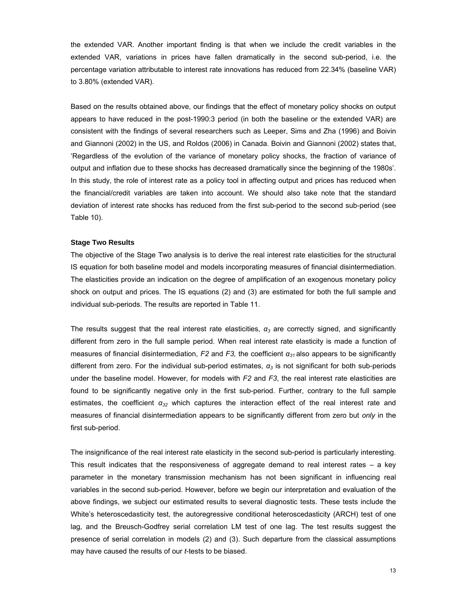the extended VAR. Another important finding is that when we include the credit variables in the extended VAR, variations in prices have fallen dramatically in the second sub-period, i.e. the percentage variation attributable to interest rate innovations has reduced from 22.34% (baseline VAR) to 3.80% (extended VAR).

Based on the results obtained above, our findings that the effect of monetary policy shocks on output appears to have reduced in the post-1990:3 period (in both the baseline or the extended VAR) are consistent with the findings of several researchers such as Leeper, Sims and Zha (1996) and Boivin and Giannoni (2002) in the US, and Roldos (2006) in Canada. Boivin and Giannoni (2002) states that, 'Regardless of the evolution of the variance of monetary policy shocks, the fraction of variance of output and inflation due to these shocks has decreased dramatically since the beginning of the 1980s'. In this study, the role of interest rate as a policy tool in affecting output and prices has reduced when the financial/credit variables are taken into account. We should also take note that the standard deviation of interest rate shocks has reduced from the first sub-period to the second sub-period (see Table 10).

#### **Stage Two Results**

The objective of the Stage Two analysis is to derive the real interest rate elasticities for the structural IS equation for both baseline model and models incorporating measures of financial disintermediation. The elasticities provide an indication on the degree of amplification of an exogenous monetary policy shock on output and prices. The IS equations (2) and (3) are estimated for both the full sample and individual sub-periods. The results are reported in Table 11.

The results suggest that the real interest rate elasticities,  $\alpha_3$  are correctly signed, and significantly different from zero in the full sample period. When real interest rate elasticity is made a function of measures of financial disintermediation, *F2* and *F3,* the coefficient *α31* also appears to be significantly different from zero. For the individual sub-period estimates, *α3* is not significant for both sub-periods under the baseline model. However, for models with *F2* and *F3*, the real interest rate elasticities are found to be significantly negative only in the first sub-period. Further, contrary to the full sample estimates, the coefficient *α32* which captures the interaction effect of the real interest rate and measures of financial disintermediation appears to be significantly different from zero but *only* in the first sub-period.

The insignificance of the real interest rate elasticity in the second sub-period is particularly interesting. This result indicates that the responsiveness of aggregate demand to real interest rates – a key parameter in the monetary transmission mechanism has not been significant in influencing real variables in the second sub-period. However, before we begin our interpretation and evaluation of the above findings, we subject our estimated results to several diagnostic tests. These tests include the White's heteroscedasticity test, the autoregressive conditional heteroscedasticity (ARCH) test of one lag, and the Breusch-Godfrey serial correlation LM test of one lag. The test results suggest the presence of serial correlation in models (2) and (3). Such departure from the classical assumptions may have caused the results of our *t*-tests to be biased.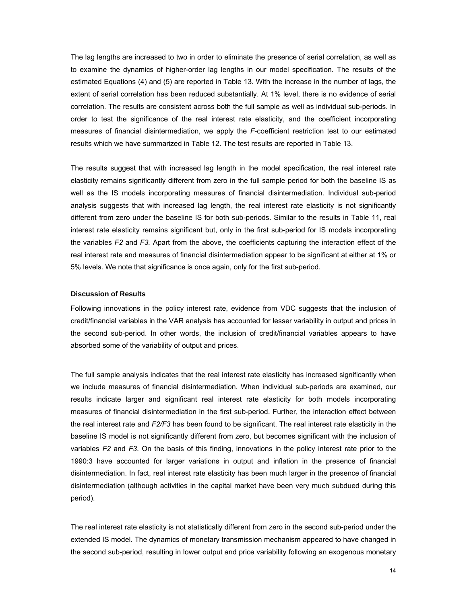The lag lengths are increased to two in order to eliminate the presence of serial correlation, as well as to examine the dynamics of higher-order lag lengths in our model specification. The results of the estimated Equations (4) and (5) are reported in Table 13. With the increase in the number of lags, the extent of serial correlation has been reduced substantially. At 1% level, there is no evidence of serial correlation. The results are consistent across both the full sample as well as individual sub-periods. In order to test the significance of the real interest rate elasticity, and the coefficient incorporating measures of financial disintermediation, we apply the *F*-coefficient restriction test to our estimated results which we have summarized in Table 12. The test results are reported in Table 13.

The results suggest that with increased lag length in the model specification, the real interest rate elasticity remains significantly different from zero in the full sample period for both the baseline IS as well as the IS models incorporating measures of financial disintermediation. Individual sub-period analysis suggests that with increased lag length, the real interest rate elasticity is not significantly different from zero under the baseline IS for both sub-periods. Similar to the results in Table 11, real interest rate elasticity remains significant but, only in the first sub-period for IS models incorporating the variables *F2* and *F3.* Apart from the above, the coefficients capturing the interaction effect of the real interest rate and measures of financial disintermediation appear to be significant at either at 1% or 5% levels. We note that significance is once again, only for the first sub-period.

### **Discussion of Results**

Following innovations in the policy interest rate, evidence from VDC suggests that the inclusion of credit/financial variables in the VAR analysis has accounted for lesser variability in output and prices in the second sub-period. In other words, the inclusion of credit/financial variables appears to have absorbed some of the variability of output and prices.

The full sample analysis indicates that the real interest rate elasticity has increased significantly when we include measures of financial disintermediation. When individual sub-periods are examined, our results indicate larger and significant real interest rate elasticity for both models incorporating measures of financial disintermediation in the first sub-period. Further, the interaction effect between the real interest rate and *F2/F3* has been found to be significant. The real interest rate elasticity in the baseline IS model is not significantly different from zero, but becomes significant with the inclusion of variables *F2* and *F3*. On the basis of this finding, innovations in the policy interest rate prior to the 1990:3 have accounted for larger variations in output and inflation in the presence of financial disintermediation. In fact, real interest rate elasticity has been much larger in the presence of financial disintermediation (although activities in the capital market have been very much subdued during this period).

The real interest rate elasticity is not statistically different from zero in the second sub-period under the extended IS model. The dynamics of monetary transmission mechanism appeared to have changed in the second sub-period, resulting in lower output and price variability following an exogenous monetary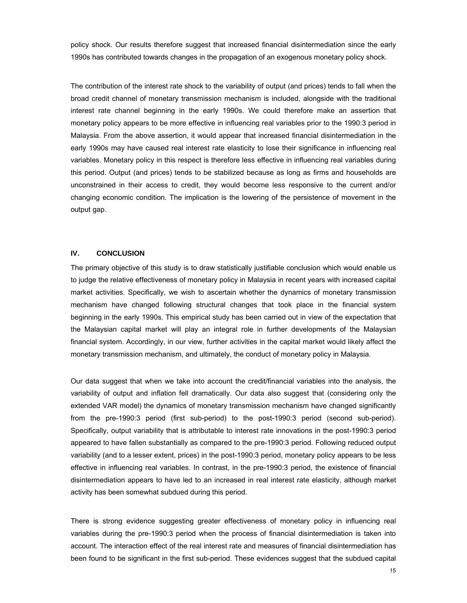policy shock. Our results therefore suggest that increased financial disintermediation since the early 1990s has contributed towards changes in the propagation of an exogenous monetary policy shock.

The contribution of the interest rate shock to the variability of output (and prices) tends to fall when the broad credit channel of monetary transmission mechanism is included, alongside with the traditional interest rate channel beginning in the early 1990s. We could therefore make an assertion that monetary policy appears to be more effective in influencing real variables prior to the 1990:3 period in Malaysia. From the above assertion, it would appear that increased financial disintermediation in the early 1990s may have caused real interest rate elasticity to lose their significance in influencing real variables. Monetary policy in this respect is therefore less effective in influencing real variables during this period. Output (and prices) tends to be stabilized because as long as firms and households are unconstrained in their access to credit, they would become less responsive to the current and/or changing economic condition. The implication is the lowering of the persistence of movement in the output gap.

#### **IV. CONCLUSION**

The primary objective of this study is to draw statistically justifiable conclusion which would enable us to judge the relative effectiveness of monetary policy in Malaysia in recent years with increased capital market activities. Specifically, we wish to ascertain whether the dynamics of monetary transmission mechanism have changed following structural changes that took place in the financial system beginning in the early 1990s. This empirical study has been carried out in view of the expectation that the Malaysian capital market will play an integral role in further developments of the Malaysian financial system. Accordingly, in our view, further activities in the capital market would likely affect the monetary transmission mechanism, and ultimately, the conduct of monetary policy in Malaysia.

Our data suggest that when we take into account the credit/financial variables into the analysis, the variability of output and inflation fell dramatically. Our data also suggest that (considering only the extended VAR model) the dynamics of monetary transmission mechanism have changed significantly from the pre-1990:3 period (first sub-period) to the post-1990:3 period (second sub-period). Specifically, output variability that is attributable to interest rate innovations in the post-1990:3 period appeared to have fallen substantially as compared to the pre-1990:3 period. Following reduced output variability (and to a lesser extent, prices) in the post-1990:3 period, monetary policy appears to be less effective in influencing real variables. In contrast, in the pre-1990:3 period, the existence of financial disintermediation appears to have led to an increased in real interest rate elasticity, although market activity has been somewhat subdued during this period.

There is strong evidence suggesting greater effectiveness of monetary policy in influencing real variables during the pre-1990:3 period when the process of financial disintermediation is taken into account. The interaction effect of the real interest rate and measures of financial disintermediation has been found to be significant in the first sub-period. These evidences suggest that the subdued capital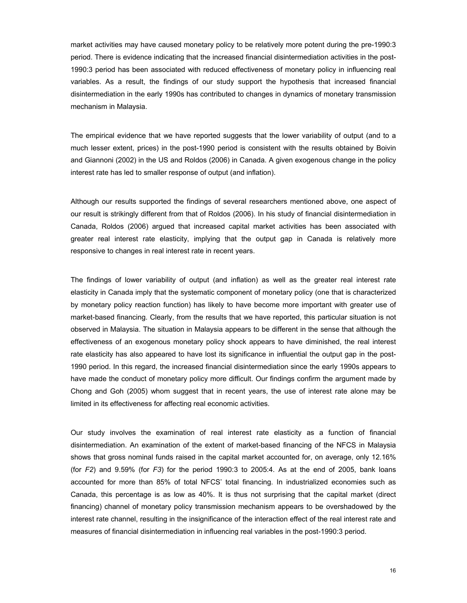market activities may have caused monetary policy to be relatively more potent during the pre-1990:3 period. There is evidence indicating that the increased financial disintermediation activities in the post-1990:3 period has been associated with reduced effectiveness of monetary policy in influencing real variables. As a result, the findings of our study support the hypothesis that increased financial disintermediation in the early 1990s has contributed to changes in dynamics of monetary transmission mechanism in Malaysia.

The empirical evidence that we have reported suggests that the lower variability of output (and to a much lesser extent, prices) in the post-1990 period is consistent with the results obtained by Boivin and Giannoni (2002) in the US and Roldos (2006) in Canada. A given exogenous change in the policy interest rate has led to smaller response of output (and inflation).

Although our results supported the findings of several researchers mentioned above, one aspect of our result is strikingly different from that of Roldos (2006). In his study of financial disintermediation in Canada, Roldos (2006) argued that increased capital market activities has been associated with greater real interest rate elasticity, implying that the output gap in Canada is relatively more responsive to changes in real interest rate in recent years.

The findings of lower variability of output (and inflation) as well as the greater real interest rate elasticity in Canada imply that the systematic component of monetary policy (one that is characterized by monetary policy reaction function) has likely to have become more important with greater use of market-based financing. Clearly, from the results that we have reported, this particular situation is not observed in Malaysia. The situation in Malaysia appears to be different in the sense that although the effectiveness of an exogenous monetary policy shock appears to have diminished, the real interest rate elasticity has also appeared to have lost its significance in influential the output gap in the post-1990 period. In this regard, the increased financial disintermediation since the early 1990s appears to have made the conduct of monetary policy more difficult. Our findings confirm the argument made by Chong and Goh (2005) whom suggest that in recent years, the use of interest rate alone may be limited in its effectiveness for affecting real economic activities.

Our study involves the examination of real interest rate elasticity as a function of financial disintermediation. An examination of the extent of market-based financing of the NFCS in Malaysia shows that gross nominal funds raised in the capital market accounted for, on average, only 12.16% (for *F2*) and 9.59% (for *F3*) for the period 1990:3 to 2005:4. As at the end of 2005, bank loans accounted for more than 85% of total NFCS' total financing. In industrialized economies such as Canada, this percentage is as low as 40%. It is thus not surprising that the capital market (direct financing) channel of monetary policy transmission mechanism appears to be overshadowed by the interest rate channel, resulting in the insignificance of the interaction effect of the real interest rate and measures of financial disintermediation in influencing real variables in the post-1990:3 period.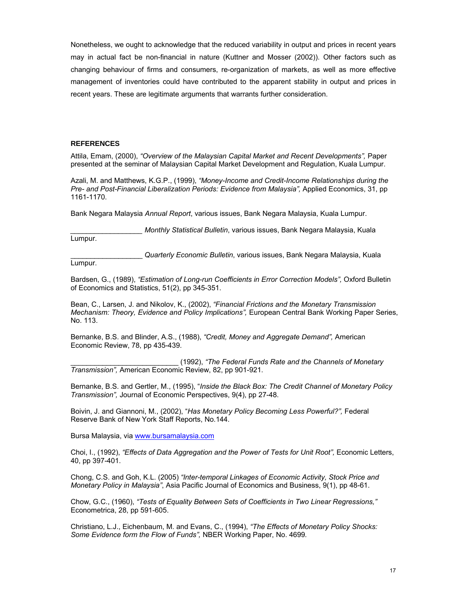Nonetheless, we ought to acknowledge that the reduced variability in output and prices in recent years may in actual fact be non-financial in nature (Kuttner and Mosser (2002)). Other factors such as changing behaviour of firms and consumers, re-organization of markets, as well as more effective management of inventories could have contributed to the apparent stability in output and prices in recent years. These are legitimate arguments that warrants further consideration.

#### **REFERENCES**

Attila, Emam, (2000), *"Overview of the Malaysian Capital Market and Recent Developments",* Paper presented at the seminar of Malaysian Capital Market Development and Regulation, Kuala Lumpur.

Azali, M. and Matthews, K.G.P., (1999), *"Money-Income and Credit-Income Relationships during the Pre- and Post-Financial Liberalization Periods: Evidence from Malaysia",* Applied Economics, 31, pp 1161-1170.

Bank Negara Malaysia *Annual Report*, various issues, Bank Negara Malaysia, Kuala Lumpur.

*Monthly Statistical Bulletin*, various issues, Bank Negara Malaysia, Kuala

Lumpur.

\_\_\_\_\_\_\_\_\_\_\_\_\_\_\_\_\_\_ *Quarterly Economic Bulletin*, various issues, Bank Negara Malaysia, Kuala Lumpur.

Bardsen, G., (1989), *"Estimation of Long-run Coefficients in Error Correction Models",* Oxford Bulletin of Economics and Statistics, 51(2), pp 345-351.

Bean, C., Larsen, J. and Nikolov, K., (2002), *"Financial Frictions and the Monetary Transmission Mechanism: Theory, Evidence and Policy Implications",* European Central Bank Working Paper Series, No. 113.

Bernanke, B.S. and Blinder, A.S., (1988), *"Credit, Money and Aggregate Demand",* American Economic Review, 78, pp 435-439.

\_\_\_\_\_\_\_\_\_\_\_\_\_\_\_\_\_\_\_\_\_\_\_\_\_\_\_ (1992), *"The Federal Funds Rate and the Channels of Monetary Transmission",* American Economic Review, 82, pp 901-921.

Bernanke, B.S. and Gertler, M., (1995), "*Inside the Black Box: The Credit Channel of Monetary Policy Transmission",* Journal of Economic Perspectives, 9(4), pp 27-48.

Boivin, J. and Giannoni, M., (2002), "*Has Monetary Policy Becoming Less Powerful?",* Federal Reserve Bank of New York Staff Reports, No.144.

Bursa Malaysia, via www.bursamalaysia.com

Choi, I., (1992), "Effects of Data Aggregation and the Power of Tests for Unit Root", Economic Letters, 40, pp 397-401.

Chong, C.S. and Goh, K.L. (2005) *"Inter-temporal Linkages of Economic Activity, Stock Price and Monetary Policy in Malaysia"*, Asia Pacific Journal of Economics and Business, 9(1), pp 48-61.

Chow, G.C., (1960), *"Tests of Equality Between Sets of Coefficients in Two Linear Regressions,"*  Econometrica, 28, pp 591-605.

Christiano, L.J., Eichenbaum, M. and Evans, C., (1994), *"The Effects of Monetary Policy Shocks: Some Evidence form the Flow of Funds",* NBER Working Paper, No. 4699*.*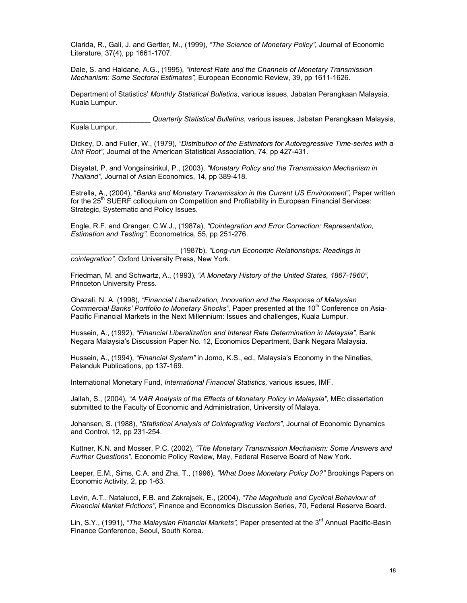Clarida, R., Gali, J. and Gertler, M., (1999), *"The Science of Monetary Policy",* Journal of Economic Literature, 37(4), pp 1661-1707.

Dale, S. and Haldane, A.G., (1995), *"Interest Rate and the Channels of Monetary Transmission Mechanism: Some Sectoral Estimates",* European Economic Review, 39, pp 1611-1626.

Department of Statistics' *Monthly Statistical Bulletins*, various issues, Jabatan Perangkaan Malaysia, Kuala Lumpur.

\_\_\_\_\_\_\_\_\_\_\_\_\_\_\_\_\_\_\_\_ *Quarterly Statistical Bulletins*, various issues, Jabatan Perangkaan Malaysia,

Kuala Lumpur.

Dickey, D. and Fuller, W., (1979), *"Distribution of the Estimators for Autoregressive Time-series with a Unit Root"*, Journal of the American Statistical Association, 74, pp 427-431.

Disyatat, P. and Vongsinsirikul, P., (2003), *"Monetary Policy and the Transmission Mechanism in Thailand",* Journal of Asian Economics, 14, pp 389-418.

Estrella, A., (2004), "*Banks and Monetary Transmission in the Current US Environment",* Paper written for the 25<sup>th</sup> SUERF colloquium on Competition and Profitability in European Financial Services: Strategic, Systematic and Policy Issues.

Engle, R.F. and Granger, C.W.J., (1987a), *"Cointegration and Error Correction: Representation, Estimation and Testing"*, Econometrica, 55, pp 251-276.

\_\_\_\_\_\_\_\_\_\_\_\_\_\_\_\_\_\_\_\_\_\_\_\_\_\_\_ (1987b), *"Long-run Economic Relationships: Readings in cointegration",* Oxford University Press, New York.

Friedman, M. and Schwartz, A., (1993), *"A Monetary History of the United States, 1867-1960",* Princeton University Press.

Ghazali, N. A. (1998), *"Financial Liberalization, Innovation and the Response of Malaysian Commercial Banks' Portfolio to Monetary Shocks", Paper presented at the 10<sup>th</sup> Conference on Asia-*Pacific Financial Markets in the Next Millennium: Issues and challenges, Kuala Lumpur.

Hussein, A., (1992), *"Financial Liberalization and Interest Rate Determination in Malaysia"*, Bank Negara Malaysia's Discussion Paper No. 12, Economics Department, Bank Negara Malaysia.

Hussein, A., (1994), *"Financial System"* in Jomo, K.S., ed., Malaysia's Economy in the Nineties, Pelanduk Publications, pp 137-169.

International Monetary Fund, *International Financial Statistics,* various issues, IMF.

Jallah, S., (2004), *"A VAR Analysis of the Effects of Monetary Policy in Malaysia",* MEc dissertation submitted to the Faculty of Economic and Administration, University of Malaya.

Johansen, S. (1988), *"Statistical Analysis of Cointegrating Vectors"*, Journal of Economic Dynamics and Control, 12, pp 231-254.

Kuttner, K.N. and Mosser, P.C. (2002), *"The Monetary Transmission Mechanism: Some Answers and Further Questions",* Economic Policy Review, May, Federal Reserve Board of New York.

Leeper, E.M., Sims, C.A. and Zha, T., (1996), *"What Does Monetary Policy Do?"* Brookings Papers on Economic Activity, 2, pp 1-63.

Levin, A.T., Natalucci, F.B. and Zakrajsek, E., (2004), *"The Magnitude and Cyclical Behaviour of Financial Market Frictions",* Finance and Economics Discussion Series, 70, Federal Reserve Board.

Lin, S.Y., (1991), *"The Malaysian Financial Markets",* Paper presented at the 3rd Annual Pacific-Basin Finance Conference, Seoul, South Korea.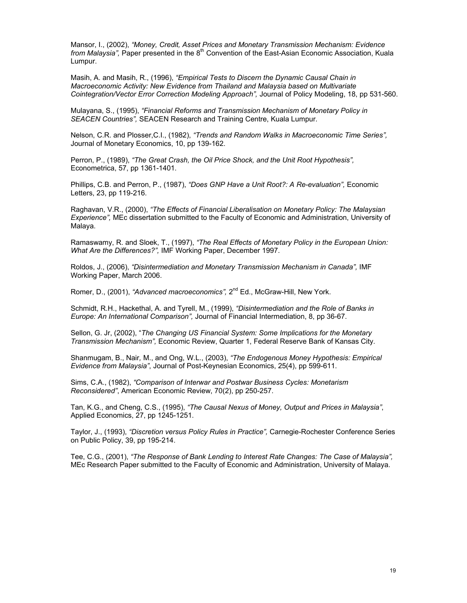Mansor, I., (2002), *"Money, Credit, Asset Prices and Monetary Transmission Mechanism: Evidence from Malaysia",* Paper presented in the 8<sup>th</sup> Convention of the East-Asian Economic Association, Kuala Lumpur.

Masih, A. and Masih, R., (1996), *"Empirical Tests to Discern the Dynamic Causal Chain in Macroeconomic Activity: New Evidence from Thailand and Malaysia based on Multivariate Cointegration/Vector Error Correction Modeling Approach",* Journal of Policy Modeling, 18, pp 531-560.

Mulayana, S., (1995), *"Financial Reforms and Transmission Mechanism of Monetary Policy in SEACEN Countries",* SEACEN Research and Training Centre, Kuala Lumpur.

Nelson, C.R. and Plosser,C.I., (1982), *"Trends and Random Walks in Macroeconomic Time Series",*  Journal of Monetary Economics, 10, pp 139-162.

Perron, P., (1989), *"The Great Crash, the Oil Price Shock, and the Unit Root Hypothesis",*  Econometrica, 57, pp 1361-1401.

Phillips, C.B. and Perron, P., (1987), *"Does GNP Have a Unit Root?: A Re-evaluation",* Economic Letters, 23, pp 119-216.

Raghavan, V.R., (2000), *"The Effects of Financial Liberalisation on Monetary Policy: The Malaysian Experience",* MEc dissertation submitted to the Faculty of Economic and Administration, University of Malaya.

Ramaswamy, R. and Sloek, T., (1997), *"The Real Effects of Monetary Policy in the European Union: What Are the Differences?",* IMF Working Paper, December 1997.

Roldos, J., (2006), *"Disintermediation and Monetary Transmission Mechanism in Canada",* IMF Working Paper, March 2006.

Romer, D., (2001), *"Advanced macroeconomics",* 2nd Ed., McGraw-Hill, New York.

Schmidt, R.H., Hackethal, A. and Tyrell, M., (1999), *"Disintermediation and the Role of Banks in Europe: An International Comparison",* Journal of Financial Intermediation, 8, pp 36-67.

Sellon, G. Jr, (2002), "*The Changing US Financial System: Some Implications for the Monetary Transmission Mechanism",* Economic Review, Quarter 1, Federal Reserve Bank of Kansas City.

Shanmugam, B., Nair*,* M., and Ong, W.L., (2003), *"The Endogenous Money Hypothesis: Empirical Evidence from Malaysia"*, Journal of Post-Keynesian Economics, 25(4), pp 599-611.

Sims, C.A., (1982), *"Comparison of Interwar and Postwar Business Cycles: Monetarism Reconsidered"*, American Economic Review, 70(2), pp 250-257.

Tan, K.G., and Cheng, C.S., (1995), *"The Causal Nexus of Money, Output and Prices in Malaysia"*, Applied Economics, 27, pp 1245-1251.

Taylor, J., (1993), *"Discretion versus Policy Rules in Practice",* Carnegie-Rochester Conference Series on Public Policy, 39, pp 195-214.

Tee, C.G., (2001), *"The Response of Bank Lending to Interest Rate Changes: The Case of Malaysia",*  MEc Research Paper submitted to the Faculty of Economic and Administration, University of Malaya.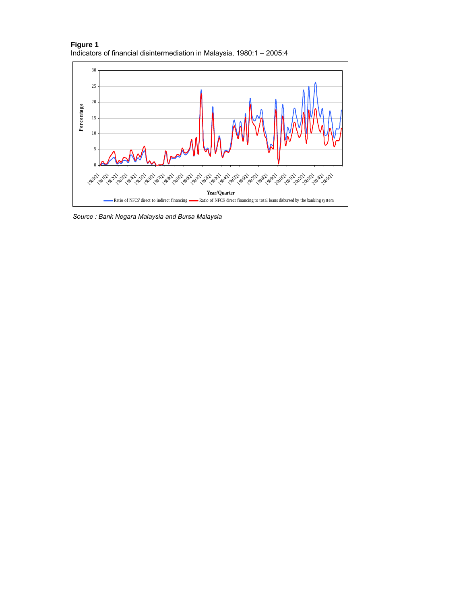



*Source : Bank Negara Malaysia and Bursa Malaysia*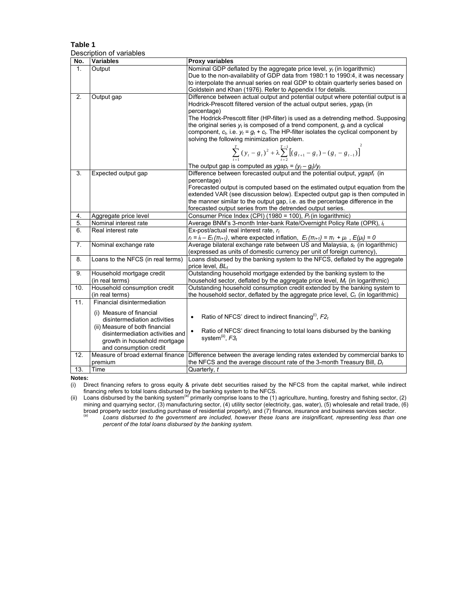## **Table 1**  Description of variables

| No.              | <b>Variables</b>                             | <b>Proxy variables</b>                                                                                                                                                                                 |
|------------------|----------------------------------------------|--------------------------------------------------------------------------------------------------------------------------------------------------------------------------------------------------------|
| $\mathbf{1}$ .   | Output                                       | Nominal GDP deflated by the aggregate price level, $y_t$ (in logarithmic)                                                                                                                              |
|                  |                                              | Due to the non-availability of GDP data from 1980:1 to 1990:4, it was necessary                                                                                                                        |
|                  |                                              | to interpolate the annual series on real GDP to obtain quarterly series based on                                                                                                                       |
|                  |                                              | Goldstein and Khan (1976). Refer to Appendix I for details.                                                                                                                                            |
| 2.               | Output gap                                   | Difference between actual output and potential output where potential output is a                                                                                                                      |
|                  |                                              | Hodrick-Prescott filtered version of the actual output series, ygap <sub>t</sub> (in                                                                                                                   |
|                  |                                              | percentage)                                                                                                                                                                                            |
|                  |                                              | The Hodrick-Prescott filter (HP-filter) is used as a detrending method. Supposing                                                                                                                      |
|                  |                                              | the original series $y_t$ is composed of a trend component, $g_t$ and a cyclical                                                                                                                       |
|                  |                                              | component, $c_t$ , i.e. $y_t = g_t + c_t$ . The HP-filter isolates the cyclical component by                                                                                                           |
|                  |                                              | solving the following minimization problem.                                                                                                                                                            |
|                  |                                              |                                                                                                                                                                                                        |
|                  |                                              | $\sum_{t=1}^{T} (y_t - g_t)^2 + \lambda \sum_{t=2}^{T-1} [(g_{t+1} - g_t) - (g_t - g_{t-1})]^2$                                                                                                        |
|                  |                                              |                                                                                                                                                                                                        |
|                  |                                              | The output gap is computed as $ygap_t = (y_t - g_t)/y_t$                                                                                                                                               |
| 3.               | Expected output gap                          | Difference between forecasted output and the potential output, ygapf <sub>t</sub> (in                                                                                                                  |
|                  |                                              | percentage)                                                                                                                                                                                            |
|                  |                                              | Forecasted output is computed based on the estimated output equation from the                                                                                                                          |
|                  |                                              | extended VAR (see discussion below). Expected output gap is then computed in                                                                                                                           |
|                  |                                              | the manner similar to the output gap, i.e. as the percentage difference in the                                                                                                                         |
|                  |                                              | forecasted output series from the detrended output series.                                                                                                                                             |
| 4.               | Aggregate price level                        | Consumer Price Index (CPI) (1980 = 100), $P_t$ (in logarithmic)                                                                                                                                        |
| $\overline{5}$ . | Nominal interest rate                        | Average BNM's 3-month Inter-bank Rate/Overnight Policy Rate (OPR), it                                                                                                                                  |
| 6.               | Real interest rate                           | Ex-post/actual real interest rate, r <sub>t</sub>                                                                                                                                                      |
|                  |                                              | $r_t = i_t - E_t(\pi_{t+1})$ , where expected inflation, $E_t(\pi_{t+1}) = \pi_t + \mu_t$ , $E(\mu_t) = 0$<br>Average bilateral exchange rate between US and Malaysia, s <sub>t</sub> (in logarithmic) |
| 7.               | Nominal exchange rate                        |                                                                                                                                                                                                        |
| 8.               | Loans to the NFCS (in real terms)            | (expressed as units of domestic currency per unit of foreign currency),<br>Loans disbursed by the banking system to the NFCS, deflated by the aggregate                                                |
|                  |                                              | price level, BL,                                                                                                                                                                                       |
| 9.               |                                              | Outstanding household mortgage extended by the banking system to the                                                                                                                                   |
|                  | Household mortgage credit<br>(in real terms) | household sector, deflated by the aggregate price level, $M_t$ (in logarithmic)                                                                                                                        |
| 10.              | Household consumption credit                 | Outstanding household consumption credit extended by the banking system to                                                                                                                             |
|                  | (in real terms)                              | the household sector, deflated by the aggregate price level, $C_t$ (in logarithmic)                                                                                                                    |
| 11.              | Financial disintermediation                  |                                                                                                                                                                                                        |
|                  |                                              |                                                                                                                                                                                                        |
|                  | (i) Measure of financial                     | Ratio of NFCS' direct to indirect financing <sup>(i)</sup> , $F2_t$                                                                                                                                    |
|                  | disintermediation activities                 |                                                                                                                                                                                                        |
|                  | (ii) Measure of both financial               | Ratio of NFCS' direct financing to total loans disbursed by the banking                                                                                                                                |
|                  | disintermediation activities and             | system <sup>(ii)</sup> , $F3_t$                                                                                                                                                                        |
|                  | growth in household mortgage                 |                                                                                                                                                                                                        |
|                  | and consumption credit                       |                                                                                                                                                                                                        |
| 12.              | Measure of broad external finance            | Difference between the average lending rates extended by commercial banks to                                                                                                                           |
|                  | premium                                      | the NFCS and the average discount rate of the 3-month Treasury Bill, $D_t$                                                                                                                             |
| 13.              | Time                                         | Quarterly, t                                                                                                                                                                                           |

Notes:<br>(i) Direct financing refers to gross equity & private debt securities raised by the NFCS from the capital market, while indirect (i) Direct financing refers to gross equity & private debt securities raised by the NFCS from the capital market, while indirect financing refers to total loans disbursed by the banking system to the NFCS.

(ii) Loans disbursed by the banking system<sup>(a)</sup> primarily comprise loans to the (1) agriculture, hunting, forestry and fishing sector, (2) mining and quarrying sector, (3) manufacturing sector, (4) utility sector (electricity, gas, water), (5) wholesale and retail trade, (6)

broad property sector (excluding purchase of residential property), and (7) finance, insurance and business services sector.<br><sup>(a)</sup> Loans disbursed to the government are included, however these loans are insignificant, repr *percent of the total loans disbursed by the banking system.*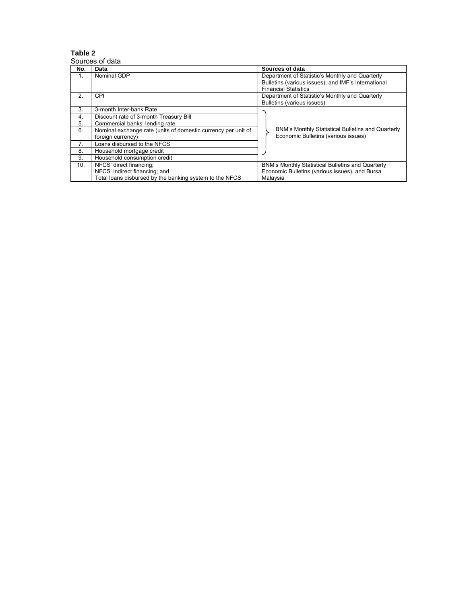Sources of data

| No.           | Data                                                          | Sources of data                                     |
|---------------|---------------------------------------------------------------|-----------------------------------------------------|
| 1.            | Nominal GDP                                                   | Department of Statistic's Monthly and Quarterly     |
|               |                                                               | Bulletins (various issues); and IMF's International |
|               |                                                               | <b>Financial Statistics</b>                         |
| $\mathcal{P}$ | CPI                                                           | Department of Statistic's Monthly and Quarterly     |
|               |                                                               | Bulletins (various issues)                          |
| 3             | 3-month Inter-bank Rate                                       |                                                     |
| 4.            | Discount rate of 3-month Treasury Bill                        |                                                     |
| 5.            | Commercial banks' lending rate                                |                                                     |
| 6.            | Nominal exchange rate (units of domestic currency per unit of | BNM's Monthly Statistical Bulletins and Quarterly   |
|               | foreign currency)                                             | Economic Bulletins (various issues)                 |
| 7.            | Loans disbursed to the NFCS                                   |                                                     |
| 8.            | Household mortgage credit                                     |                                                     |
| 9.            | Household consumption credit                                  |                                                     |
| 10.           | NFCS' direct financing;                                       | BNM's Monthly Statistical Bulletins and Quarterly   |
|               | NFCS' indirect financing; and                                 | Economic Bulletins (various issues), and Bursa      |
|               | Total loans disbursed by the banking system to the NFCS       | Malaysia                                            |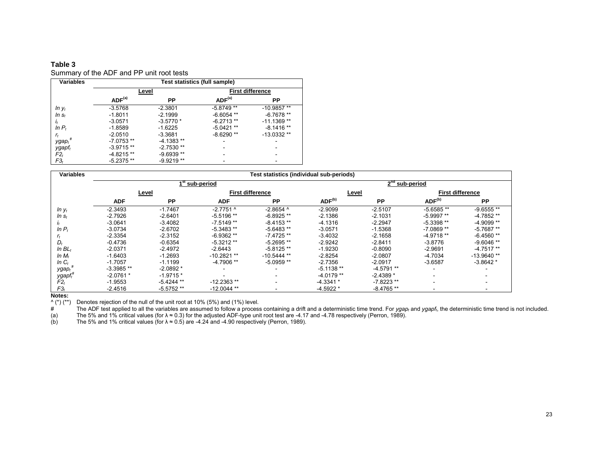## Summary of the ADF and PP unit root tests

| Variables          | Test statistics (full sample) |             |                         |              |  |  |
|--------------------|-------------------------------|-------------|-------------------------|--------------|--|--|
|                    | Level                         |             | <b>First difference</b> |              |  |  |
|                    | ADF <sup>(a)</sup><br>PP      |             | ADF <sup>(a)</sup>      | РP           |  |  |
| $ln y_t$           | $-3.5768$                     | $-2.3801$   | $-5.8749**$             | $-10.9857**$ |  |  |
| $ln s_t$           | $-1.8011$                     | $-2.1999$   | $-6.6054$ **            | $-6.7678**$  |  |  |
| It                 | $-3.0571$                     | $-3.5770*$  | $-6.2713**$             | $-11.1369**$ |  |  |
| $ln P_t$           | $-1.8589$                     | $-1.6225$   | $-5.0421**$             | $-8.1416**$  |  |  |
| r,                 | $-2.0510$                     | $-3.3681$   | $-8.6290**$             | $-13.0332**$ |  |  |
| ygap $_{t}$        | $-7.0753**$                   | $-4.1383**$ |                         | ۰            |  |  |
| ygapf <sub>t</sub> | $-3.9715**$                   | $-2.7530**$ |                         |              |  |  |
| $F2_t$             | $-4.8215**$                   | $-9.6939**$ |                         | ۰            |  |  |
| $F3_t$             | $-5.2375**$                   | $-9.9219**$ |                         |              |  |  |

| <b>Variables</b>   | Test statistics (individual sub-periods) |              |                         |                          |                            |             |                          |                          |  |
|--------------------|------------------------------------------|--------------|-------------------------|--------------------------|----------------------------|-------------|--------------------------|--------------------------|--|
|                    |                                          |              | ˈsub-period             |                          | 2 <sup>nd</sup> sub-period |             |                          |                          |  |
|                    |                                          | <u>Level</u> | <b>First difference</b> |                          | Level                      |             |                          | <b>First difference</b>  |  |
|                    | <b>ADF</b>                               | PP           | <b>ADF</b>              | PP                       | ADF <sup>(b)</sup>         | PP          | ADF <sup>(b)</sup>       | <b>PP</b>                |  |
| $ln y_t$           | $-2.3493$                                | $-1.7467$    | $-2.7751$ ^             | $-2.8654$ ^              | $-2.9099$                  | $-2.5107$   | $-5.6585**$              | $-9.6555**$              |  |
| $ln s_t$           | $-2.7926$                                | $-2.6401$    | $-5.5196$ **            | $-6.8925**$              | $-2.1386$                  | $-2.1031$   | -5.9997 **               | $-4.7852**$              |  |
|                    | $-3.0641$                                | $-3.4082$    | $-7.5149**$             | $-8.4153**$              | $-4.1316$                  | $-2.2947$   | $-5.3398**$              | $-4.9099**$              |  |
| $ln P_t$           | $-3.0734$                                | $-2.6702$    | $-5.3483**$             | $-5.6483**$              | $-3.0571$                  | $-1.5368$   | $-7.0869**$              | $-5.7687**$              |  |
|                    | $-2.3354$                                | $-2.3152$    | $-6.9362**$             | $-7.4725**$              | $-3.4032$                  | $-2.1658$   | $-4.9718**$              | $-6.4560**$              |  |
| D,                 | $-0.4736$                                | $-0.6354$    | $-5.3212**$             | $-5.2695**$              | $-2.9242$                  | $-2.8411$   | $-3.8776$                | $-9.6046**$              |  |
| In $BL_t$          | $-2.0371$                                | $-2.4972$    | $-2.6443$               | $-5.8125**$              | $-1.9230$                  | $-0.8090$   | $-2.9691$                | $-4.7517**$              |  |
| In $M_t$           | $-1.6403$                                | $-1.2693$    | $-10.2821$ **           | $-10.5444**$             | $-2.8254$                  | $-2.0807$   | $-4.7034$                | $-13.9640$ **            |  |
| In $C_t$           | $-1.7057$                                | $-1.1199$    | $-4.7906**$             | $-5.0959**$              | $-2.7356$                  | $-2.0917$   | $-3.6587$                | $-3.8642*$               |  |
| ygapt              | $-3.3985**$                              | $-2.0892*$   |                         | $\overline{\phantom{a}}$ | $-5.1138**$                | $-4.5791**$ |                          |                          |  |
| ygapf <sub>t</sub> | $-2.0761*$                               | $-1.9715*$   |                         | $\overline{a}$           | $-4.0179**$                | $-2.4389*$  | -                        | $\overline{\phantom{0}}$ |  |
| $F2_t$             | $-1.9553$                                | $-5.4244$ ** | $-12.2363**$            | $\sim$                   | $-4.3341*$                 | $-7.8223**$ | $\overline{\phantom{0}}$ | $\overline{a}$           |  |
| F3 <sub>t</sub>    | $-2.4516$                                | $-5.5752**$  | $-12.0044$ **           | ۰                        | $-4.5922*$                 | $-8.4765**$ |                          |                          |  |

**Notes:** 

 $\wedge$  (\*) (\*\*) Denotes rejection of the null of the unit root at 10% (5%) and (1%) level.

# The ADF test applied to all the variables are assumed to follow a process containing a drift and a deterministic time trend. For *ygap<sub>t</sub>* and *ygapf<sub>t</sub>*, the deterministic time trend is not included.<br>(a) The 5% and 1%

(a) The 5% and 1% critical values (for  $\lambda \approx 0.3$ ) for the adjusted ADF-type unit root test are -4.17 and -4.78 respectively (Perron, 1989).<br>
(b) The 5% and 1% critical values (for  $\lambda \approx 0.5$ ) are -4.24 and -4.90 respecti

The 5% and 1% critical values (for  $\lambda \approx 0.5$ ) are -4.24 and -4.90 respectively (Perron, 1989).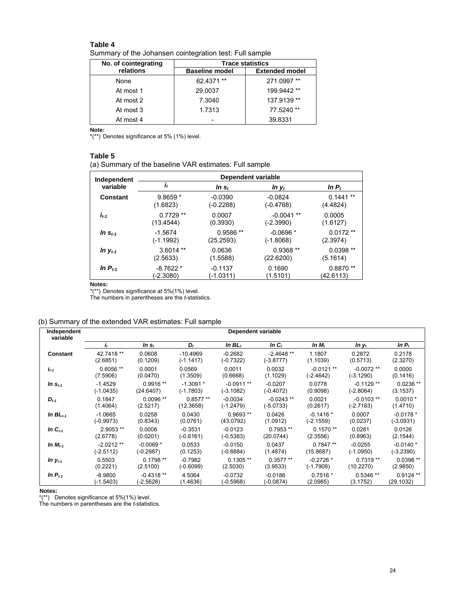Summary of the Johansen cointegration test: Full sample

| No. of cointegrating | <b>Trace statistics</b> |                       |  |  |  |
|----------------------|-------------------------|-----------------------|--|--|--|
| relations            | <b>Baseline model</b>   | <b>Extended model</b> |  |  |  |
| None                 | 62.4371 **              | 271.0997**            |  |  |  |
| At most 1            | 29.0037                 | 199.9442 **           |  |  |  |
| At most 2            | 7.3040                  | 137.9139 **           |  |  |  |
| At most 3            | 1.7313                  | 77.5240**             |  |  |  |
| At most 4            |                         | 39.8331               |  |  |  |

**Note:** 

\*(\*\*) Denotes significance at 5% (1%) level.

# **Table 5**

(a) Summary of the baseline VAR estimates: Full sample

| Independent  | <b>Dependent variable</b> |            |             |            |  |  |  |  |
|--------------|---------------------------|------------|-------------|------------|--|--|--|--|
| variable     | i,                        | In $s_t$   | $ln y_t$    | $ln P_t$   |  |  |  |  |
| Constant     | $9.8659*$                 | $-0.0390$  | $-0.0824$   | $0.1441**$ |  |  |  |  |
|              | (1.6823)                  | (-0.2288)  | $(-0.4768)$ | (4.4824)   |  |  |  |  |
| $I_{t-1}$    | $0.7729**$                | 0.0007     | $-0.0041**$ | 0.0005     |  |  |  |  |
|              | (13.4544)                 | (0.3930)   | $(-2.3990)$ | (1.6127)   |  |  |  |  |
| In $S_{t-1}$ | $-1.5674$                 | $0.9586**$ | $-0.0696*$  | $0.0172**$ |  |  |  |  |
|              | (-1.1992)                 | (25.2593)  | $(-1.8068)$ | (2.3974)   |  |  |  |  |
| In $y_{t-1}$ | $3.6014**$                | 0.0636     | $0.9368**$  | $0.0398**$ |  |  |  |  |
|              | (2.5633)                  | (1.5588)   | (22.6200)   | (5.1614)   |  |  |  |  |
| In $P_{t-1}$ | $-8.7622*$                | $-0.1137$  | 0.1690      | $0.8870**$ |  |  |  |  |
|              | $(-2.3080)$               | (-1.0311)  | (1.5101)    | (42.6113)  |  |  |  |  |

**Notes:** 

\*(\*\*) Denotes significance at 5%(1%) level.

The numbers in parentheses are the *t*-statistics.

|  | (b) Summary of the extended VAR estimates: Full sample |
|--|--------------------------------------------------------|
|--|--------------------------------------------------------|

| Independent<br>variable | Dependent variable |             |             |             |              |             |              |            |
|-------------------------|--------------------|-------------|-------------|-------------|--------------|-------------|--------------|------------|
|                         | ı.                 | In $s_t$    | $D_t$       | In $BLt$    | In $C_t$     | $ln M_t$    | In $y_t$     | In $P_t$   |
| <b>Constant</b>         | 42.7418 **         | 0.0608      | $-10.4969$  | $-0.2682$   | $-2.4648**$  | 1.1807      | 0.2872       | 0.2178     |
|                         | (2.6851)           | (0.1209)    | $(-1.1417)$ | $(-0.7322)$ | (-3.8777)    | (1.1039)    | (0.5713)     | (2.3270)   |
| $I_{t-1}$               | $0.6056**$         | 0.0001      | 0.0569      | 0.0011      | 0.0032       | $-0.0121**$ | $-0.0072$ ** | 0.0000     |
|                         | (7.5906)           | (0.0470)    | (1.3509)    | (0.6668)    | (1.1029)     | $(-2.4642)$ | $(-3.1290)$  | (0.1416)   |
| In $s_{t-1}$            | $-1.4529$          | $0.9916**$  | $-1.3091*$  | $-0.0911**$ | $-0.0207$    | 0.0778      | $-0.1129$ ** | $0.0236**$ |
|                         | $(-1.0435)$        | (24.6407)   | $(-1.7803)$ | (-3.1082)   | (-0.4072)    | (0.9098)    | (-2.8064)    | (3.1537)   |
| $D_{t-1}$               | 0.1847             | $0.0096**$  | $0.8577**$  | $-0.0034$   | $-0.0243$ ** | 0.0021      | $-0.0103$ ** | $0.0010*$  |
|                         | (1.4064)           | (2.5217)    | (12.3658)   | $(-1.2479)$ | (-5.0733)    | (0.2617)    | $(-2.7183)$  | (1.4710)   |
| In $BL_{t-1}$           | $-1.0665$          | 0.0258      | 0.0430      | $0.9693**$  | 0.0426       | $-0.1416*$  | 0.0007       | $-0.0178*$ |
|                         | $(-0.9973)$        | (0.8343)    | (0.0761)    | (43.0792)   | (1.0912)     | $(-2.1559)$ | (0.0237)     | (-3.0931)  |
| In $C_{t-1}$            | 2.9053 **          | 0.0006      | $-0.3531$   | $-0.0123$   | $0.7953**$   | $0.1570**$  | 0.0281       | 0.0126     |
|                         | (2.6778)           | (0.0201)    | (-0.6161)   | $(-0.5383)$ | (20.0744)    | (2.3556)    | (0.8963)     | (2.1544)   |
| In $M_{t-1}$            | $-2.0212**$        | $-0.0069*$  | 0.0533      | $-0.0150$   | 0.0437       | $0.7847**$  | $-0.0255$    | $-0.0140*$ |
|                         | $(-2.5112)$        | $(-0.2987)$ | (0.1253)    | $(-0.8884)$ | (1.4874)     | (15.8687)   | $(-1.0950)$  | (-3.2390)  |
| In $y_{t-1}$            | 0.5503             | $0.1798**$  | $-0.7982$   | $0.1305**$  | $0.3577**$   | $-0.2726*$  | $0.7319**$   | $0.0398**$ |
|                         | (0.2221)           | (2.5100)    | (-0.6099)   | (2.5030)    | (3.9533)     | $(-1.7908)$ | (10.2270)    | (2.9850)   |
| In $P_{t-1}$            | $-8.9800$          | $-0.4318**$ | 4.5064      | $-0.0732$   | $-0.0186$    | $0.7516*$   | $0.5346**$   | $0.9124**$ |
|                         | $(-1.5403)$        | (-2.5628)   | (1.4636)    | (-0.5968)   | $(-0.0874)$  | (2.0985)    | (3.1752)     | (29.1032)  |

**Notes:** 

\*(\*\*) Denotes significance at 5%(1%) level.

The numbers in parentheses are the *t*-statistics.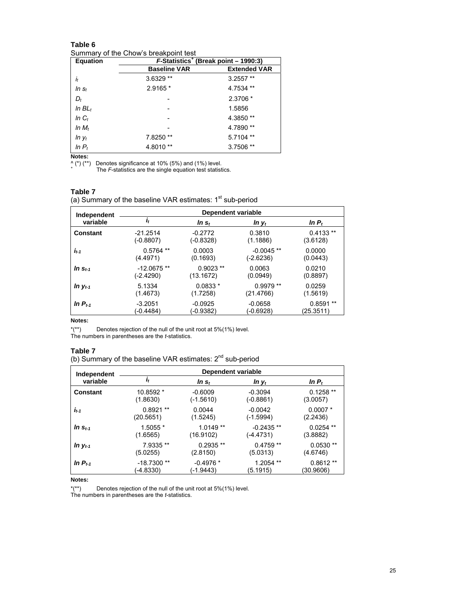Summary of the Chow's breakpoint test

| <b>Equation</b> | F-Statistics <sup>+</sup> (Break point - 1990:3) |                     |  |  |  |  |  |
|-----------------|--------------------------------------------------|---------------------|--|--|--|--|--|
|                 | <b>Baseline VAR</b>                              | <b>Extended VAR</b> |  |  |  |  |  |
| İt              | 3.6329 **                                        | $3.2557**$          |  |  |  |  |  |
| $InS_t$         | 2.9165 *                                         | 4.7534 **           |  |  |  |  |  |
| $D_t$           |                                                  | 2.3706 *            |  |  |  |  |  |
| In $BLt$        |                                                  | 1.5856              |  |  |  |  |  |
| In $C_t$        |                                                  | 4.3850 **           |  |  |  |  |  |
| In $M_t$        |                                                  | 4.7890**            |  |  |  |  |  |
| $ln y_t$        | $***$<br>7.8250                                  | 5.7104 **           |  |  |  |  |  |
| In $P_t$        | 4.8010**                                         | 3.7506 **           |  |  |  |  |  |

**Notes:** 

^ (\*) (\*\*) Denotes significance at 10% (5%) and (1%) level. + The *F*-statistics are the single equation test statistics.

#### **Table 7**

(a) Summary of the baseline VAR estimates: 1<sup>st</sup> sub-period

| Independent  | Dependent variable |            |              |            |  |  |  |  |
|--------------|--------------------|------------|--------------|------------|--|--|--|--|
| variable     | It                 | $ln s_t$   | $ln y_t$     | $ln P_t$   |  |  |  |  |
| Constant     | $-21.2514$         | $-0.2772$  | 0.3810       | $0.4133**$ |  |  |  |  |
|              | (-0.8807)          | (-0.8328)  | (1.1886)     | (3.6128)   |  |  |  |  |
| $i_{t-1}$    | $0.5764$ **        | 0.0003     | $-0.0045$ ** | 0.0000     |  |  |  |  |
|              | (4.4971)           | (0.1693)   | (-2.6236)    | (0.0443)   |  |  |  |  |
| In $S_{t-1}$ | $-12.0675**$       | $0.9023**$ | 0.0063       | 0.0210     |  |  |  |  |
|              | (-2.4290)          | (13.1672)  | (0.0949)     | (0.8897)   |  |  |  |  |
| $ln y_{t-1}$ | 5.1334             | $0.0833*$  | $0.9979**$   | 0.0259     |  |  |  |  |
|              | (1.4673)           | (1.7258)   | (21.4766)    | (1.5619)   |  |  |  |  |
| In $P_{t-1}$ | $-3.2051$          | $-0.0925$  | $-0.0658$    | $0.8591**$ |  |  |  |  |
|              | (-0.4484)          | (-0.9382)  | (-0.6928)    | (25.3511)  |  |  |  |  |

## **Notes:**

\*(\*\*) Denotes rejection of the null of the unit root at 5%(1%) level.

The numbers in parentheses are the *t*-statistics.

## **Table 7**

(b) Summary of the baseline VAR estimates:  $2^{nd}$  sub-period

| Independent  | Dependent variable |             |             |             |  |  |  |  |
|--------------|--------------------|-------------|-------------|-------------|--|--|--|--|
| variable     | $I_t$              | $ln s_t$    | $ln y_t$    | In $P_t$    |  |  |  |  |
| Constant     | 10.8592 *          | $-0.6009$   | $-0.3094$   | $0.1258**$  |  |  |  |  |
|              | (1.8630)           | (-1.5610)   | $(-0.8861)$ | (3.0057)    |  |  |  |  |
| $I_{t-1}$    | $0.8921**$         | 0.0044      | $-0.0042$   | $0.0007*$   |  |  |  |  |
|              | (20.5651)          | (1.5245)    | $(-1.5994)$ | (2.2436)    |  |  |  |  |
| In $S_{t-1}$ | 1.5055 *           | $1.0149**$  | $-0.2435**$ | $0.0254$ ** |  |  |  |  |
|              | (1.6565)           | (16.9102)   | (-4.4731)   | (3.8882)    |  |  |  |  |
| In $y_{t-1}$ | 7.9335 **          | $0.2935**$  | $0.4759**$  | $0.0530**$  |  |  |  |  |
|              | (5.0255)           | (2.8150)    | (5.0313)    | (4.6746)    |  |  |  |  |
| In $P_{t-1}$ | $-18.7300**$       | $-0.4976*$  | $1.2054**$  | $0.8612**$  |  |  |  |  |
|              | $(-4.8330)$        | $(-1.9443)$ | (5.1915)    | (30.9606)   |  |  |  |  |

#### **Notes:**

\*(\*\*) Denotes rejection of the null of the unit root at 5%(1%) level.

The numbers in parentheses are the *t*-statistics.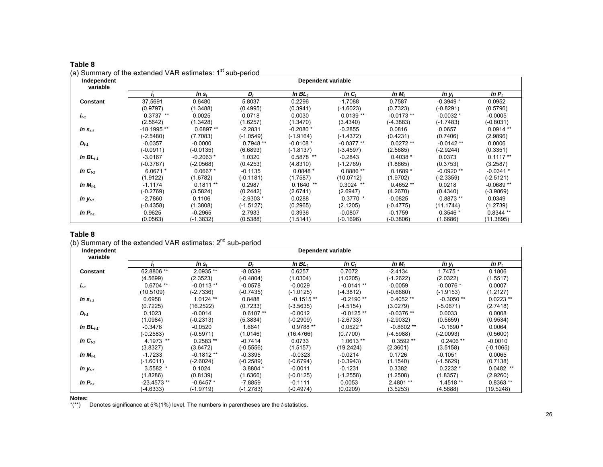| $\sim$ ,<br>$\frac{1}{2}$<br>Independent<br>variable | Dependent variable |             |             |             |             |             |             |             |
|------------------------------------------------------|--------------------|-------------|-------------|-------------|-------------|-------------|-------------|-------------|
|                                                      |                    | $ln s_t$    | D,          | In $BLt$    | In $C_t$    | In $M_t$    | $ln y_t$    | In $P_t$    |
| Constant                                             | 37.5691            | 0.6480      | 5.8037      | 0.2296      | $-1.7088$   | 0.7587      | $-0.3949*$  | 0.0952      |
|                                                      | (0.9797)           | (1.3488)    | (0.4995)    | (0.3941)    | $(-1.6023)$ | (0.7323)    | (-0.8291)   | (0.5796)    |
| $I_{t-1}$                                            | $0.3737**$         | 0.0025      | 0.0718      | 0.0030      | $0.0139**$  | $-0.0173**$ | $-0.0032*$  | $-0.0005$   |
|                                                      | (2.5642)           | (1.3428)    | (1.6257)    | (1.3470)    | (3.4340)    | $(-4.3883)$ | (-1.7483)   | $(-0.8031)$ |
| In $S_{t-1}$                                         | -18.1995 **        | $0.6897**$  | $-2.2831$   | $-0.2080*$  | $-0.2855$   | 0.0816      | 0.0657      | $0.0914**$  |
|                                                      | $(-2.5480)$        | (7.7083)    | $(-1.0549)$ | $(-1.9164)$ | (-1.4372)   | (0.4231)    | (0.7406)    | (2.9896)    |
| $D_{t-1}$                                            | $-0.0357$          | $-0.0000$   | $0.7948**$  | $-0.0108*$  | $-0.0377**$ | $0.0272**$  | $-0.0142**$ | 0.0006      |
|                                                      | $(-0.0911)$        | $(-0.0135)$ | (6.6893)    | $(-1.8137)$ | $(-3.4597)$ | (2.5685)    | (-2.9244)   | (0.3351)    |
| In $BL_{t-1}$                                        | $-3.0167$          | $-0.2063*$  | 1.0320      | $0.5878$ ** | $-0.2843$   | $0.4038*$   | 0.0373      | $0.1117**$  |
|                                                      | $(-0.3767)$        | (-2.0568)   | (0.4253)    | (4.8310)    | $(-1.2769)$ | (1.8665)    | (0.3753)    | (3.2587)    |
| In $C_{t-1}$                                         | $6.0671*$          | $0.0667*$   | $-0.1135$   | $0.0848*$   | $0.8886**$  | $0.1689*$   | $-0.0920**$ | $-0.0341*$  |
|                                                      | (1.9122)           | (1.6782)    | $(-0.1181)$ | (1.7587)    | (10.0712)   | (1.9702)    | $(-2.3359)$ | $(-2.5121)$ |
| In $M_{t-1}$                                         | $-1.1174$          | $0.1811**$  | 0.2987      | $0.1640$ ** | $0.3024$ ** | $0.4652**$  | 0.0218      | $-0.0689**$ |
|                                                      | $(-0.2769)$        | (3.5824)    | (0.2442)    | (2.6741)    | (2.6947)    | (4.2670)    | (0.4340)    | $(-3.9869)$ |
| In $y_{t-1}$                                         | -2.7860            | 0.1106      | $-2.9303*$  | 0.0288      | $0.3770*$   | $-0.0825$   | $0.8873**$  | 0.0349      |
|                                                      | $(-0.4358)$        | (1.3808)    | $(-1.5127)$ | (0.2965)    | (2.1205)    | $(-0.4775)$ | (11.1744)   | (1.2739)    |
| In $P_{t-1}$                                         | 0.9625             | $-0.2965$   | 2.7933      | 0.3936      | $-0.0807$   | $-0.1759$   | $0.3546*$   | $0.8344**$  |
|                                                      | (0.0563)           | $(-1.3832)$ | (0.5388)    | (1.5141)    | (-0.1696)   | $(-0.3806)$ | (1.6686)    | (11.3895)   |

# **Table 8** (a) Summary of the extended VAR estimates:  $1<sup>st</sup>$  sub-period

## **Table 8**

# (b) Summary of the extended VAR estimates: 2<sup>nd</sup> sub-period

| Independent   | Dependent variable |             |            |             |              |             |             |             |
|---------------|--------------------|-------------|------------|-------------|--------------|-------------|-------------|-------------|
| variable      |                    | In $s_t$    | $D_t$      | In $BLt$    | In $C_t$     | In $M_t$    | $ln y_t$    | $ln P_t$    |
| Constant      | 62.8806 **         | 2.0935 **   | $-8.0539$  | 0.6257      | 0.7072       | $-2.4134$   | $1.7475*$   | 0.1806      |
|               | (4.5699)           | (2.3523)    | (-0.4804)  | (1.0304)    | (1.0205)     | (-1.2622)   | (2.0322)    | (1.5517)    |
| $i_{t-1}$     | $0.6704$ **        | $-0.0113**$ | $-0.0578$  | $-0.0029$   | $-0.0141**$  | $-0.0059$   | $-0.0076*$  | 0.0007      |
|               | (10.5109)          | (-2.7336)   | (-0.7435)  | $(-1.0125)$ | (-4.3812)    | (-0.6680)   | $(-1.9153)$ | (1.2127)    |
| In $s_{t-1}$  | 0.6958             | $1.0124**$  | 0.8488     | $-0.1515**$ | $-0.2190**$  | $0.4052**$  | $-0.3050**$ | $0.0223**$  |
|               | (0.7225)           | (16.2522)   | (0.7233)   | $(-3.5635)$ | (-4.5154)    | (3.0279)    | (-5.0671)   | (2.7418)    |
| $D_{t-1}$     | 0.1023             | $-0.0014$   | $0.6107**$ | $-0.0012$   | $-0.0125$ ** | $-0.0376**$ | 0.0033      | 0.0008      |
|               | (1.0984)           | $(-0.2313)$ | (5.3834)   | (-0.2909)   | (-2.6733)    | (-2.9032)   | (0.5659)    | (0.9534)    |
| In $BL_{t-1}$ | $-0.3476$          | $-0.0520$   | 1.6641     | $0.9788**$  | $0.0522*$    | $-0.8602**$ | $-0.1690*$  | 0.0064      |
|               | $(-0.2583)$        | $(-0.5971)$ | (1.0146)   | (16.4766)   | (0.7700)     | (-4.5988)   | (-2.0093)   | (0.5600)    |
| In $C_{t-1}$  | 4.1973 **          | $0.2583**$  | $-0.7414$  | 0.0733      | $1.0613**$   | $0.3592**$  | $0.2406**$  | $-0.0010$   |
|               | (3.8327)           | (3.6472)    | (-0.5556)  | (1.5157)    | (19.2424)    | (2.3601)    | (3.5158)    | (-0.1065)   |
| In $M_{t-1}$  | $-1.7233$          | $-0.1812**$ | $-0.3395$  | $-0.0323$   | $-0.0214$    | 0.1726      | $-0.1051$   | 0.0065      |
|               | (-1.6011)          | (-2.6024)   | (-0.2589)  | $(-0.6794)$ | (-0.3943)    | (1.1540)    | $(-1.5629)$ | (0.7138)    |
| In $y_{t-1}$  | $3.5582$ *         | 0.1024      | 3.8804 *   | $-0.0011$   | $-0.1231$    | 0.3382      | $0.2232*$   | $0.0482$ ** |
|               | (1.8286)           | (0.8139)    | (1.6366)   | $(-0.0125)$ | $(-1.2558)$  | (1.2508)    | (1.8357)    | (2.9260)    |
| In $P_{t-1}$  | $-23.4573**$       | $-0.6457*$  | $-7.8859$  | $-0.1111$   | 0.0053       | $2.4801**$  | 1.4518 **   | $0.8363**$  |
|               | $(-4.6333)$        | (-1.9719)   | (-1.2783)  | (-0.4974)   | (0.0209)     | (3.5253)    | (4.5888)    | (19.5248)   |

#### **Notes:**

\*(\*\*) Denotes significance at 5%(1%) level. The numbers in parentheses are the *t*-statistics.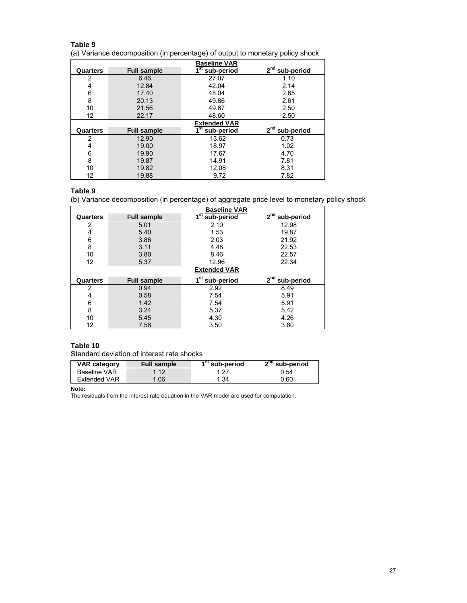(a) Variance decomposition (in percentage) of output to monetary policy shock

|          |                    | <b>Baseline VAR</b>        |                               |
|----------|--------------------|----------------------------|-------------------------------|
| Quarters | <b>Full sample</b> | 1 <sup>st</sup> sub-period | 2 <sup>nd</sup><br>sub-period |
| 2        | 6.46               | 27.07                      | 1.10                          |
| 4        | 12.84              | 42.04                      | 2.14                          |
| 6        | 17.40              | 48.04                      | 2.65                          |
| 8        | 20.13              | 49.86                      | 2.61                          |
| 10       | 21.56              | 49.67                      | 2.50                          |
| 12       | 22.17              | 48.60                      | 2.50                          |
|          |                    |                            |                               |
|          |                    | <b>Extended VAR</b>        |                               |
| Quarters | <b>Full sample</b> |                            | 2 <sup>nd</sup> sub-period    |
| 2        | 12.90              | $1st$ sub-period<br>13.62  | 0.73                          |
| 4        | 19.00              | 18.97                      | 1.02                          |
| 6        | 19.90              | 17.67                      | 4.70                          |
| 8        | 19.87              | 14.91                      | 7.81                          |
| 10       | 19.82              | 12.08                      | 8.31                          |

#### **Table 9**

(b) Variance decomposition (in percentage) of aggregate price level to monetary policy shock

|          |                    | <b>Baseline VAR</b>        |                  |
|----------|--------------------|----------------------------|------------------|
| Quarters | <b>Full sample</b> | 1 <sup>st</sup> sub-period | $2nd$ sub-period |
| 2        | 5.01               | 2.10                       | 12.98            |
| 4        | 5.40               | 1.53                       | 19.87            |
| 6        | 3.86               | 2.03                       | 21.92            |
| 8        | 3.11               | 4.48                       | 22.53            |
| 10       | 3.80               | 8.46                       | 22.57            |
| 12       | 5.37               | 12.96                      | 22.34            |
|          |                    | <b>Extended VAR</b>        |                  |
| Quarters | <b>Full sample</b> | 1 <sup>st</sup> sub-period | $2nd$ sub-period |
| 2        | 0.94               | 2.92                       | 8.49             |
| 4        | 0.58               | 7.54                       | 5.91             |
| 6        | 1.42               | 7.54                       | 5.91             |
| 8        | 3.24               | 5.37                       | 5.42             |
| 10       | 5.45               | 4.30                       | 4.26             |
| 12       | 7.58               | 3.50                       | 3.80             |

## **Table 10**

Standard deviation of interest rate shocks

| <b>VAR category</b> | Full sample | sub-period | $2nd$ sub-period |
|---------------------|-------------|------------|------------------|
| <b>Baseline VAR</b> | 112         | .27        | 0.54             |
| Extended VAR        | .06         | 1.34       | 0.60             |

**Note:** 

The residuals from the interest rate equation in the VAR model are used for computation.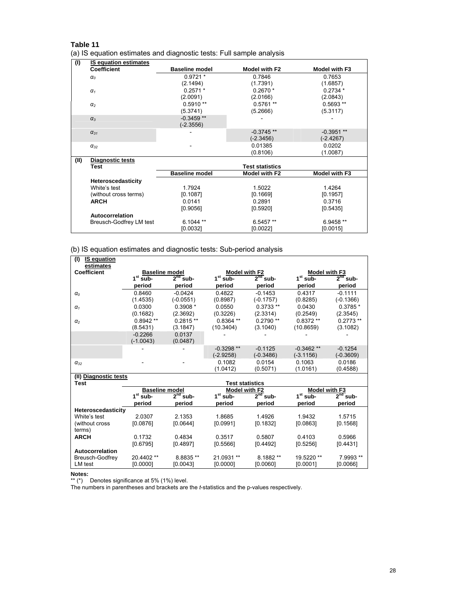|  |  |  | (a) IS equation estimates and diagnostic tests: Full sample analysis |  |  |
|--|--|--|----------------------------------------------------------------------|--|--|
|  |  |  |                                                                      |  |  |

| (1)  | <b>IS equation estimates</b> |                       |                        |               |
|------|------------------------------|-----------------------|------------------------|---------------|
|      | <b>Coefficient</b>           | <b>Baseline model</b> | Model with F2          | Model with F3 |
|      | $\alpha$ <sub>0</sub>        | $0.9721*$             | 0.7846                 | 0.7653        |
|      |                              | (2.1494)              | (1.7391)               | (1.6857)      |
|      | $\alpha_{1}$                 | $0.2571*$             | $0.2670*$              | $0.2734*$     |
|      |                              | (2.0091)              | (2.0166)               | (2.0843)      |
|      | $\alpha_2$                   | $0.5910**$            | $0.5761**$             | $0.5693**$    |
|      |                              | (5.3741)              | (5.2666)               | (5.3117)      |
|      | $\alpha_3$                   | $-0.3459**$           |                        |               |
|      |                              | $(-2.3556)$           |                        |               |
|      | $\alpha_{31}$                |                       | $-0.3745$ **           | $-0.3951**$   |
|      |                              |                       | $(-2.3456)$            | $(-2.4267)$   |
|      | $\alpha_{32}$                |                       | 0.01385                | 0.0202        |
|      |                              |                       | (0.8106)               | (1.0087)      |
| (II) | Diagnostic tests             |                       |                        |               |
|      | Test                         |                       | <b>Test statistics</b> |               |
|      |                              | <b>Baseline model</b> | Model with F2          | Model with F3 |
|      | Heteroscedasticity           |                       |                        |               |
|      | White's test                 | 1.7924                | 1.5022                 | 1.4264        |
|      | (without cross terms)        | [0.1087]              | [0.1669]               | [0.1957]      |
|      | <b>ARCH</b>                  | 0.0141                | 0.2891                 | 0.3716        |
|      |                              | [0.9056]              | [0.5920]               | [0.5435]      |
|      | Autocorrelation              |                       |                        |               |
|      | Breusch-Godfrey LM test      | $6.1044**$            | 6.5457 **              | 6.9458 **     |
|      |                              | [0.0032]              | [0.0022]               | [0.0015]      |

(b) IS equation estimates and diagnostic tests: Sub-period analysis

| (1)<br><b>IS equation</b> |                       |             |                        |               |                          |               |  |  |
|---------------------------|-----------------------|-------------|------------------------|---------------|--------------------------|---------------|--|--|
| estimates                 |                       |             |                        |               |                          |               |  |  |
| <b>Coefficient</b>        | <b>Baseline model</b> |             | Model with F2          |               |                          | Model with F3 |  |  |
|                           | $1st$ sub-            | $2nd$ sub-  | $1st$ sub-             | $2nd$ sub-    | $1st$ sub-<br>$2nd$ sub- |               |  |  |
|                           | period                | period      | period                 | period        | period                   | period        |  |  |
| $\alpha_o$                | 0.8460                | $-0.0424$   | 0.4822                 | $-0.1453$     | 0.4317                   | $-0.1111$     |  |  |
|                           | (1.4535)              | $(-0.0551)$ | (0.8987)               | $(-0.1757)$   | (0.8285)                 | $(-0.1366)$   |  |  |
| $\alpha_1$                | 0.0300                | $0.3908*$   | 0.0550                 | $0.3733**$    | 0.0430                   | $0.3785*$     |  |  |
|                           | (0.1682)              | (2.3692)    | (0.3226)               | (2.3314)      | (0.2549)                 | (2.3545)      |  |  |
| $\alpha_{2}$              | $0.8942**$            | $0.2815**$  | $0.8364**$             | $0.2790**$    | $0.8372**$               | $0.2773**$    |  |  |
|                           | (8.5431)              | (3.1847)    | (10.3404)              | (3.1040)      | (10.8659)                | (3.1082)      |  |  |
|                           | $-0.2266$             | 0.0137      |                        |               |                          |               |  |  |
|                           | $(-1.0043)$           | (0.0487)    |                        |               |                          |               |  |  |
|                           |                       |             | $-0.3298**$            | $-0.1125$     | $-0.3462$ **             | $-0.1254$     |  |  |
|                           |                       |             | $(-2.9258)$            | $(-0.3486)$   | $(-3.1156)$              | $(-0.3609)$   |  |  |
| $\alpha_{32}$             |                       |             | 0.1082                 | 0.0154        | 0.1063                   | 0.0186        |  |  |
|                           |                       |             | (1.0412)               | (0.5071)      | (1.0161)                 | (0.4588)      |  |  |
| (II) Diagnostic tests     |                       |             |                        |               |                          |               |  |  |
| Test                      |                       |             | <b>Test statistics</b> |               |                          |               |  |  |
|                           | <b>Baseline model</b> |             | Model with F2          |               |                          | Model with F3 |  |  |
|                           | $1st$ sub-            | $2nd$ sub-  | $1st$ sub-             | $2^{nd}$ sub- | $1st$ sub-               | $2nd$ sub-    |  |  |
|                           | period                | period      | period                 | period        | period                   | period        |  |  |
| Heteroscedasticity        |                       |             |                        |               |                          |               |  |  |
| White's test              | 2.0307                | 2.1353      | 1.8685                 | 1.4926        | 1.9432                   | 1.5715        |  |  |
| (without cross)           | [0.0876]              | [0.0644]    | [0.0991]               | [0.1832]      | [0.0863]                 | [0.1568]      |  |  |

0.3517 [0.5566]

21.0931 \*\* [0.0000]

0.5807 [0.4492]

8.1882 \*\* [0.0060]

0.4103 [0.5256]

19.5220 \*\* [0.0001]

0.5966 [0.4431]

7.9993 \*\* [0.0066]

LM test **Notes:** 

terms)

**Autocorrelation**  Breusch-Godfrey

\*\* (\*) Denotes significance at 5% (1%) level.

[0.6795]

20.4402 \*\* [0.0000]

**ARCH** 0.1732

The numbers in parentheses and brackets are the *t*-statistics and the p-values respectively.

8.8835 \*\* [0.0043]

0.4834 [0.4897]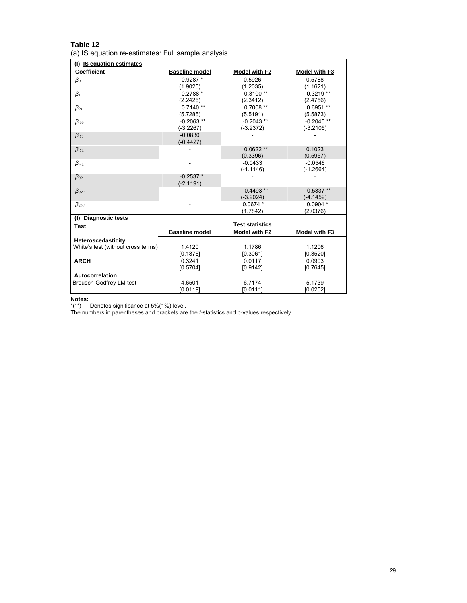| Table 12                                           |  |
|----------------------------------------------------|--|
| (a) IS equation re-estimates: Full sample analysis |  |

| (I) IS equation estimates                                |                          |                        |                      |
|----------------------------------------------------------|--------------------------|------------------------|----------------------|
| <b>Coefficient</b>                                       | <b>Baseline model</b>    | <b>Model with F2</b>   | <b>Model with F3</b> |
| $\beta_{0}$                                              | $0.9287*$                | 0.5926                 | 0.5788               |
|                                                          | (1.9025)                 | (1.2035)               | (1.1621)             |
| $\beta_1$                                                | $0.2788*$                | $0.3100**$             | $0.3219**$           |
|                                                          | (2.2426)                 | (2.3412)               | (2.4756)             |
| $\beta_{21}$                                             | $0.7140**$               | $0.7008**$             | $0.6951**$           |
|                                                          | (5.7285)                 | (5.5191)               | (5.5873)             |
| $\beta_{22}$                                             | $-0.2063**$              | $-0.2043**$            | $-0.2045**$          |
|                                                          | $(-3.2267)$              | $(-3.2372)$            | $(-3.2105)$          |
| $\beta_{31}$                                             | $-0.0830$<br>$(-0.4427)$ |                        |                      |
| $\beta_{31,i}$                                           |                          | $0.0622**$             | 0.1023               |
|                                                          |                          | (0.3396)               | (0.5957)             |
| $\beta$ <sub>41,i</sub>                                  |                          | $-0.0433$              | $-0.0546$            |
|                                                          |                          | $(-1.1146)$            | $(-1.2664)$          |
| $\beta_{32}$                                             | $-0.2537*$               |                        |                      |
|                                                          | $(-2.1191)$              |                        |                      |
| $\beta_{32,i}$                                           |                          | $-0.4493**$            | $-0.5337**$          |
|                                                          |                          | $(-3.9024)$            | $(-4.1452)$          |
| $\beta_{42,i}$                                           |                          | $0.0674*$              | $0.0904*$            |
|                                                          |                          | (1.7842)               | (2.0376)             |
| (I) Diagnostic tests                                     |                          | <b>Test statistics</b> |                      |
| <b>Test</b>                                              | <b>Baseline model</b>    | Model with F2          | Model with F3        |
|                                                          |                          |                        |                      |
| Heteroscedasticity<br>White's test (without cross terms) | 1.4120                   | 1.1786                 | 1.1206               |
|                                                          | [0.1876]                 | [0.3061]               | [0.3520]             |
| <b>ARCH</b>                                              | 0.3241                   | 0.0117                 | 0.0903               |
|                                                          | [0.5704]                 | [0.9142]               | [0.7645]             |
| Autocorrelation                                          |                          |                        |                      |
| Breusch-Godfrey LM test                                  | 4.6501                   | 6.7174                 | 5.1739               |
|                                                          | [0.0119]                 | [0.0111]               | [0.0252]             |
|                                                          |                          |                        |                      |

**Notes:** 

\*(\*\*) Denotes significance at 5%(1%) level.

The numbers in parentheses and brackets are the *t*-statistics and p-values respectively.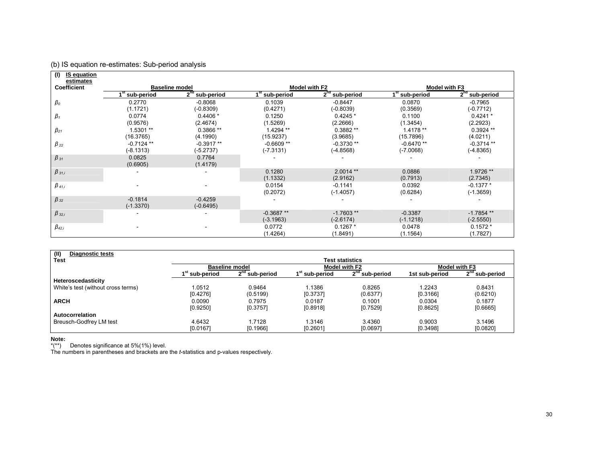| (1)<br><b>IS equation</b> |                          |                       |             |                      |                            |                  |
|---------------------------|--------------------------|-----------------------|-------------|----------------------|----------------------------|------------------|
| estimates                 |                          |                       |             |                      |                            |                  |
| Coefficient               |                          | <b>Baseline model</b> |             | <b>Model with F2</b> |                            | Model with F3    |
|                           | <sup>st</sup> sub-period | $2nd$ sub-period      | sub-period  | $2nd$ sub-period     | 1 <sup>st</sup> sub-period | $2nd$ sub-period |
| $\beta_o$                 | 0.2770                   | $-0.8068$             | 0.1039      | $-0.8447$            | 0.0870                     | $-0.7965$        |
|                           | (1.1721)                 | $(-0.8309)$           | (0.4271)    | $(-0.8039)$          | (0.3569)                   | $(-0.7712)$      |
| $\beta_1$                 | 0.0774                   | $0.4406*$             | 0.1250      | $0.4245*$            | 0.1100                     | $0.4241*$        |
|                           | (0.9576)                 | (2.4674)              | (1.5269)    | (2.2666)             | (1.3454)                   | (2.2923)         |
| $\beta_{21}$              | 1.5301 **                | $0.3866**$            | 1.4294 **   | 0.3882 **            | 1.4178 **                  | $0.3924**$       |
|                           | (16.3765)                | (4.1990)              | (15.9237)   | (3.9685)             | (15.7896)                  | (4.0211)         |
| $\beta_{22}$              | $-0.7124$ **             | $-0.3917**$           | $-0.6609**$ | $-0.3730**$          | $-0.6470**$                | $-0.3714$ **     |
|                           | $(-8.1313)$              | $(-5.2737)$           | $(-7.3131)$ | (-4.8568)            | (-7.0068)                  | $(-4.8365)$      |
| $\beta_{31}$              | 0.0825                   | 0.7764                |             |                      |                            |                  |
|                           | (0.6905)                 | (1.4179)              |             |                      |                            |                  |
| $\beta_{31,i}$            |                          |                       | 0.1280      | $2.0014**$           | 0.0886                     | 1.9726 **        |
|                           |                          |                       | (1.1332)    | (2.9162)             | (0.7913)                   | (2.7345)         |
| $\beta$ 41,i              |                          |                       | 0.0154      | $-0.1141$            | 0.0392                     | $-0.1377*$       |
|                           |                          |                       | (0.2072)    | $(-1.4057)$          | (0.6284)                   | $(-1.3659)$      |
| $\beta_{32}$              | $-0.1814$                | $-0.4259$             |             |                      |                            |                  |
|                           | $(-1.3370)$              | $(-0.6495)$           |             |                      |                            |                  |
| $\beta_{32,i}$            |                          |                       | $-0.3687**$ | $-1.7603**$          | $-0.3387$                  | $-1.7854**$      |
|                           |                          |                       | $(-3.1963)$ | $(-2.6174)$          | $(-1.1218)$                | $(-2.5550)$      |
| $\beta_{42,i}$            |                          |                       | 0.0772      | $0.1267*$            | 0.0478                     | $0.1572*$        |
|                           |                          |                       | (1.4264)    | (1.8491)             | (1.1564)                   | (1.7827)         |

| (II)<br><b>Diagnostic tests</b>    |                            |                                                     |                            |                               |                |                               |  |
|------------------------------------|----------------------------|-----------------------------------------------------|----------------------------|-------------------------------|----------------|-------------------------------|--|
| <b>Test</b>                        |                            |                                                     |                            | Test statistics               |                |                               |  |
|                                    |                            | <b>Baseline model</b>                               |                            | Model with F2                 |                | Model with F3                 |  |
|                                    | 1 <sup>st</sup> sub-period | $2^{nd}$<br>$^{\scriptscriptstyle\rm o}$ sub-period | 1 <sup>st</sup> sub-period | 2 <sup>nd</sup><br>sub-period | 1st sub-period | <sub>2</sub> nd<br>sub-period |  |
| Heteroscedasticity                 |                            |                                                     |                            |                               |                |                               |  |
| White's test (without cross terms) | 1.0512                     | 0.9464                                              | 1.1386                     | 0.8265                        | 1.2243         | 0.8431                        |  |
|                                    | [0.4276]                   | (0.5199)                                            | [0.3737]                   | (0.6377)                      | [0.3166]       | (0.6210)                      |  |
| <b>ARCH</b>                        | 0.0090                     | 0.7975                                              | 0.0187                     | 0.1001                        | 0.0304         | 0.1877                        |  |
|                                    | [0.9250]                   | [0.3757]                                            | [0.8918]                   | [0.7529]                      | [0.8625]       | [0.6665]                      |  |
| Autocorrelation                    |                            |                                                     |                            |                               |                |                               |  |
| Breusch-Godfrey LM test            | 4.6432                     | 1.7128                                              | 1.3146                     | 3.4360                        | 0.9003         | 3.1496                        |  |
|                                    | [0.0167]                   | [0.1966]                                            | [0.2601]                   | [0.0697]                      | [0.3498]       | [0.0820]                      |  |

**Note:** 

\*(\*\*) Denotes significance at 5%(1%) level.

(b) IS equation re-estimates: Sub-period analysis

The numbers in parentheses and brackets are the *t*-statistics and p-values respectively.